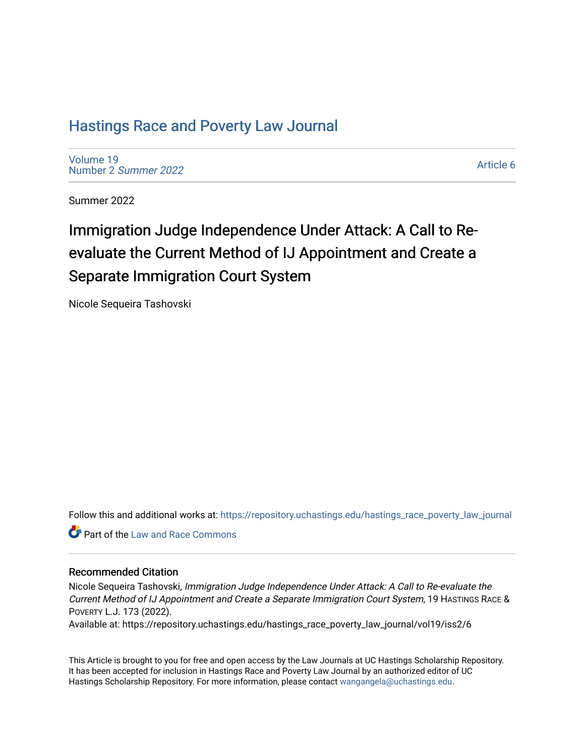# [Hastings Race and Poverty Law Journal](https://repository.uchastings.edu/hastings_race_poverty_law_journal)

[Volume 19](https://repository.uchastings.edu/hastings_race_poverty_law_journal/vol19) [Number 2](https://repository.uchastings.edu/hastings_race_poverty_law_journal/vol19/iss2) Summer 2022

[Article 6](https://repository.uchastings.edu/hastings_race_poverty_law_journal/vol19/iss2/6) 

Summer 2022

# Immigration Judge Independence Under Attack: A Call to Reevaluate the Current Method of IJ Appointment and Create a Separate Immigration Court System

Nicole Sequeira Tashovski

Follow this and additional works at: [https://repository.uchastings.edu/hastings\\_race\\_poverty\\_law\\_journal](https://repository.uchastings.edu/hastings_race_poverty_law_journal?utm_source=repository.uchastings.edu%2Fhastings_race_poverty_law_journal%2Fvol19%2Fiss2%2F6&utm_medium=PDF&utm_campaign=PDFCoverPages) 

**C** Part of the Law and Race Commons

## Recommended Citation

Nicole Sequeira Tashovski, Immigration Judge Independence Under Attack: A Call to Re-evaluate the Current Method of IJ Appointment and Create a Separate Immigration Court System, 19 HASTINGS RACE & POVERTY L.J. 173 (2022).

Available at: https://repository.uchastings.edu/hastings\_race\_poverty\_law\_journal/vol19/iss2/6

This Article is brought to you for free and open access by the Law Journals at UC Hastings Scholarship Repository. It has been accepted for inclusion in Hastings Race and Poverty Law Journal by an authorized editor of UC Hastings Scholarship Repository. For more information, please contact [wangangela@uchastings.edu.](mailto:wangangela@uchastings.edu)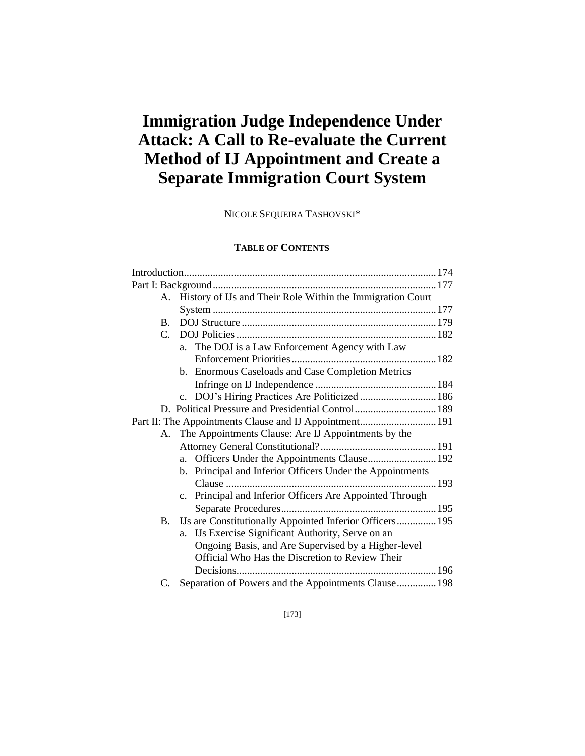# **Immigration Judge Independence Under Attack: A Call to Re-evaluate the Current Method of IJ Appointment and Create a Separate Immigration Court System**

NICOLE SEQUEIRA TASHOVSKI\*

# **TABLE OF CONTENTS**

|                                                         |                | A. History of IJs and Their Role Within the Immigration Court        |  |
|---------------------------------------------------------|----------------|----------------------------------------------------------------------|--|
|                                                         |                |                                                                      |  |
|                                                         | $\mathbf{B}$ . |                                                                      |  |
|                                                         | $C_{\cdot}$    |                                                                      |  |
|                                                         |                | a. The DOJ is a Law Enforcement Agency with Law                      |  |
|                                                         |                |                                                                      |  |
|                                                         |                | b. Enormous Caseloads and Case Completion Metrics                    |  |
|                                                         |                |                                                                      |  |
|                                                         |                | c. DOJ's Hiring Practices Are Politicized  186                       |  |
|                                                         |                | D. Political Pressure and Presidential Control 189                   |  |
| Part II: The Appointments Clause and IJ Appointment 191 |                |                                                                      |  |
|                                                         |                | A. The Appointments Clause: Are IJ Appointments by the               |  |
|                                                         |                |                                                                      |  |
|                                                         |                | Officers Under the Appointments Clause 192<br>a.                     |  |
|                                                         |                | b. Principal and Inferior Officers Under the Appointments            |  |
|                                                         |                |                                                                      |  |
|                                                         |                | Principal and Inferior Officers Are Appointed Through<br>$c_{\cdot}$ |  |
|                                                         |                |                                                                      |  |
|                                                         | В.             | IJs are Constitutionally Appointed Inferior Officers 195             |  |
|                                                         |                | IJs Exercise Significant Authority, Serve on an<br>a.                |  |
|                                                         |                | Ongoing Basis, and Are Supervised by a Higher-level                  |  |
|                                                         |                | Official Who Has the Discretion to Review Their                      |  |
|                                                         |                |                                                                      |  |
|                                                         | C.             | Separation of Powers and the Appointments Clause 198                 |  |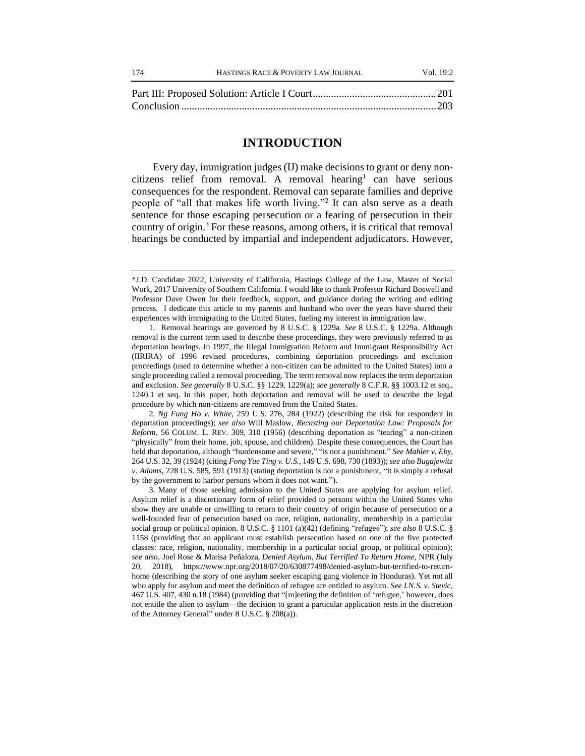#### **INTRODUCTION**

Every day, immigration judges (IJ) make decisions to grant or deny noncitizens relief from removal. A removal hearing<sup>1</sup> can have serious consequences for the respondent. Removal can separate families and deprive people of "all that makes life worth living."<sup>2</sup> It can also serve as a death sentence for those escaping persecution or a fearing of persecution in their country of origin.<sup>3</sup> For these reasons, among others, it is critical that removal hearings be conducted by impartial and independent adjudicators. However,

2*. Ng Fung Ho v. White*, 259 U.S. 276, 284 (1922) (describing the risk for respondent in deportation proceedings); *see also* Will Maslow, *Recasting our Deportation Law: Proposals for Reform*, 56 COLUM. L. REV. 309, 310 (1956) (describing deportation as "tearing" a non-citizen "physically" from their home, job, spouse, and children). Despite these consequences, the Court has held that deportation, although "burdensome and severe," "is not a punishment." *See Mahler v. Eby*, 264 U.S. 32, 39 (1924) (citing *Fong Yue Ting v. U.S.*, 149 U.S. 698, 730 (1893)); *see also Bugajewitz v. Adams*, 228 U.S. 585, 591 (1913) (stating deportation is not a punishment, "it is simply a refusal by the government to harbor persons whom it does not want.").

3. Many of those seeking admission to the United States are applying for asylum relief. Asylum relief is a discretionary form of relief provided to persons within the United States who show they are unable or unwilling to return to their country of origin because of persecution or a well-founded fear of persecution based on race, religion, nationality, membership in a particular social group or political opinion. 8 U.S.C. § 1101 (a)(42) (defining "refugee"); *see also* 8 U.S.C. § 1158 (providing that an applicant must establish persecution based on one of the five protected classes: race, religion, nationality, membership in a particular social group, or political opinion); *see also*, Joel Rose & Marisa Peñaloza, *Denied Asylum, But Terrified To Return Home*, NPR (July 20, 2018), https://www.npr.org/2018/07/20/630877498/denied-asylum-but-terrified-to-returnhome (describing the story of one asylum seeker escaping gang violence in Honduras). Yet not all who apply for asylum and meet the definition of refugee are entitled to asylum. *See I.N.S. v. Stevic*, 467 U.S. 407, 430 n.18 (1984) (providing that "[m]eeting the definition of 'refugee,' however, does not entitle the alien to asylum—the decision to grant a particular application rests in the discretion of the Attorney General" under 8 U.S.C. § 208(a)).

<sup>\*</sup>J.D. Candidate 2022, University of California, Hastings College of the Law, Master of Social Work, 2017 University of Southern California. I would like to thank Professor Richard Boswell and Professor Dave Owen for their feedback, support, and guidance during the writing and editing process. I dedicate this article to my parents and husband who over the years have shared their experiences with immigrating to the United States, fueling my interest in immigration law.

<sup>1.</sup> Removal hearings are governed by 8 U.S.C. § 1229a. *See* 8 U.S.C. § 1229a. Although removal is the current term used to describe these proceedings, they were previously referred to as deportation hearings. In 1997, the Illegal Immigration Reform and Immigrant Responsibility Act (IIRIRA) of 1996 revised procedures, combining deportation proceedings and exclusion proceedings (used to determine whether a non-citizen can be admitted to the United States) into a single proceeding called a removal proceeding. The term removal now replaces the term deportation and exclusion. *See generally* 8 U.S.C. §§ 1229, 1229(a); *see generally* 8 C.F.R. §§ 1003.12 et seq., 1240.1 et seq. In this paper, both deportation and removal will be used to describe the legal procedure by which non-citizens are removed from the United States.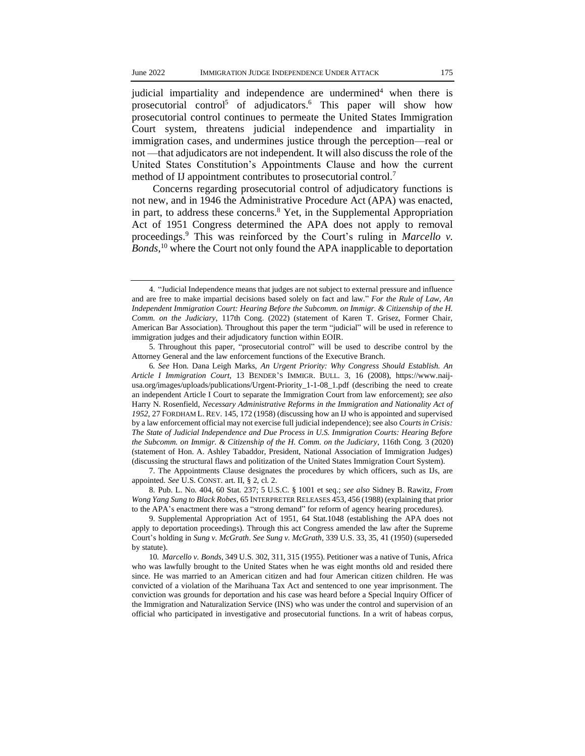judicial impartiality and independence are undermined<sup>4</sup> when there is prosecutorial control<sup>5</sup> of adjudicators.<sup>6</sup> This paper will show how prosecutorial control continues to permeate the United States Immigration Court system, threatens judicial independence and impartiality in immigration cases, and undermines justice through the perception—real or not —that adjudicators are not independent. It will also discuss the role of the United States Constitution's Appointments Clause and how the current method of IJ appointment contributes to prosecutorial control.<sup>7</sup>

Concerns regarding prosecutorial control of adjudicatory functions is not new, and in 1946 the Administrative Procedure Act (APA) was enacted, in part, to address these concerns.<sup>8</sup> Yet, in the Supplemental Appropriation Act of 1951 Congress determined the APA does not apply to removal proceedings.<sup>9</sup> This was reinforced by the Court's ruling in *Marcello v. Bonds*, <sup>10</sup> where the Court not only found the APA inapplicable to deportation

8. Pub. L. No. 404, 60 Stat. 237; 5 U.S.C. § 1001 et seq.; *see also* Sidney B. Rawitz, *From Wong Yang Sung to Black Robes*, 65 INTERPRETER RELEASES 453, 456 (1988) (explaining that prior to the APA's enactment there was a "strong demand" for reform of agency hearing procedures).

<sup>4.</sup> "Judicial Independence means that judges are not subject to external pressure and influence and are free to make impartial decisions based solely on fact and law." *For the Rule of Law, An Independent Immigration Court: Hearing Before the Subcomm. on Immigr. & Citizenship of the H. Comm. on the Judiciary*, 117th Cong. (2022) (statement of Karen T. Grisez, Former Chair, American Bar Association). Throughout this paper the term "judicial" will be used in reference to immigration judges and their adjudicatory function within EOIR.

<sup>5.</sup> Throughout this paper, "prosecutorial control" will be used to describe control by the Attorney General and the law enforcement functions of the Executive Branch.

<sup>6</sup>*. See* Hon. Dana Leigh Marks, *An Urgent Priority: Why Congress Should Establish. An Article I Immigration Court*, 13 BENDER'S IMMIGR. BULL. 3, 16 (2008), https://www.naijusa.org/images/uploads/publications/Urgent-Priority\_1-1-08\_1.pdf (describing the need to create an independent Article I Court to separate the Immigration Court from law enforcement); *see also* Harry N. Rosenfield, *Necessary Administrative Reforms in the Immigration and Nationality Act of 1952*, 27 FORDHAM L.REV. 145, 172 (1958) (discussing how an IJ who is appointed and supervised by a law enforcement official may not exercise full judicial independence); see also *Courts in Crisis: The State of Judicial Independence and Due Process in U.S. Immigration Courts: Hearing Before the Subcomm. on Immigr. & Citizenship of the H. Comm. on the Judiciary*, 116th Cong. 3 (2020) (statement of Hon. A. Ashley Tabaddor, President, National Association of Immigration Judges) (discussing the structural flaws and politization of the United States Immigration Court System).

<sup>7.</sup> The Appointments Clause designates the procedures by which officers, such as IJs, are appointed. *See* U.S. CONST. art. II, § 2, cl. 2.

<sup>9.</sup> Supplemental Appropriation Act of 1951, 64 Stat.1048 (establishing the APA does not apply to deportation proceedings). Through this act Congress amended the law after the Supreme Court's holding in *Sung v. McGrath*. *See Sung v. McGrath*, 339 U.S. 33, 35, 41 (1950) (superseded by statute).

<sup>10</sup>*. Marcello v. Bonds*, 349 U.S. 302, 311, 315 (1955). Petitioner was a native of Tunis, Africa who was lawfully brought to the United States when he was eight months old and resided there since. He was married to an American citizen and had four American citizen children. He was convicted of a violation of the Marihuana Tax Act and sentenced to one year imprisonment. The conviction was grounds for deportation and his case was heard before a Special Inquiry Officer of the Immigration and Naturalization Service (INS) who was under the control and supervision of an official who participated in investigative and prosecutorial functions. In a writ of habeas corpus,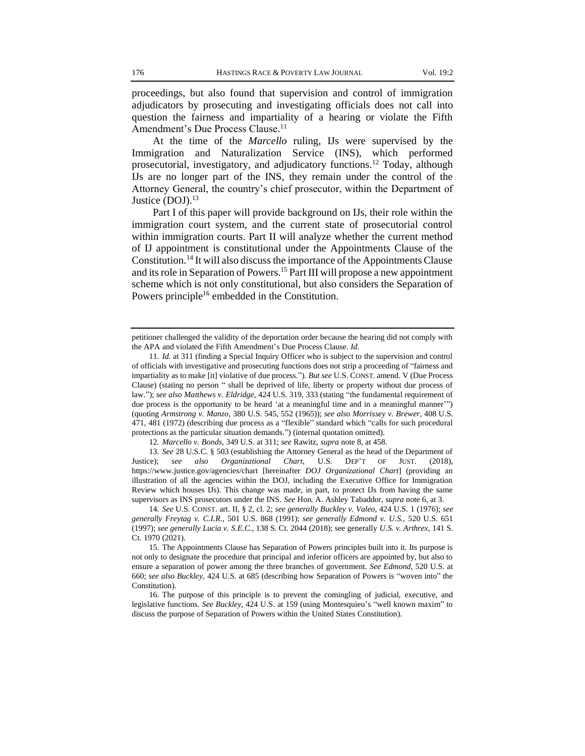proceedings, but also found that supervision and control of immigration adjudicators by prosecuting and investigating officials does not call into question the fairness and impartiality of a hearing or violate the Fifth Amendment's Due Process Clause.<sup>11</sup>

At the time of the *Marcello* ruling, IJs were supervised by the Immigration and Naturalization Service (INS), which performed prosecutorial, investigatory, and adjudicatory functions.<sup>12</sup> Today, although IJs are no longer part of the INS, they remain under the control of the Attorney General, the country's chief prosecutor, within the Department of Justice  $(DOJ).<sup>13</sup>$ 

Part I of this paper will provide background on IJs, their role within the immigration court system, and the current state of prosecutorial control within immigration courts. Part II will analyze whether the current method of IJ appointment is constitutional under the Appointments Clause of the Constitution.<sup>14</sup> It will also discuss the importance of the Appointments Clause and its role in Separation of Powers.<sup>15</sup> Part III will propose a new appointment scheme which is not only constitutional, but also considers the Separation of Powers principle<sup>16</sup> embedded in the Constitution.

petitioner challenged the validity of the deportation order because the hearing did not comply with the APA and violated the Fifth Amendment's Due Process Clause. *Id*.

<sup>11</sup>*. Id.* at 311 (finding a Special Inquiry Officer who is subject to the supervision and control of officials with investigative and prosecuting functions does not strip a proceeding of "fairness and impartiality as to make [it] violative of due process."). *But see* U.S. CONST. amend. V (Due Process Clause) (stating no person " shall be deprived of life, liberty or property without due process of law."); *see also Matthews v. Eldridge*, 424 U.S. 319, 333 (stating "the fundamental requirement of due process is the opportunity to be heard 'at a meaningful time and in a meaningful manner'") (quoting *Armstrong v. Manzo*, 380 U.S. 545, 552 (1965)); *see also Morrissey v. Brewer*, 408 U.S. 471, 481 (1972) (describing due process as a "flexible" standard which "calls for such procedural protections as the particular situation demands.") (internal quotation omitted).

<sup>12</sup>*. Marcello v. Bonds*, 349 U.S. at 311; *see* Rawitz, *supra* note 8, at 458.

<sup>13</sup>*. See* 28 U.S.C. § 503 (establishing the Attorney General as the head of the Department of Justice); *see also Organizational Chart*, U.S. DEP'T OF JUST. (2018), https://www.justice.gov/agencies/chart [hereinafter *DOJ Organizational Chart*] (providing an illustration of all the agencies within the DOJ, including the Executive Office for Immigration Review which houses IJs). This change was made, in part, to protect IJs from having the same supervisors as INS prosecutors under the INS. *See* Hon. A. Ashley Tabaddor, *supra* note 6, at 3.

<sup>14</sup>*. See* U.S. CONST. art. II, § 2, cl. 2; *see generally Buckley v. Valeo*, 424 U.S. 1 (1976); *see generally Freytag v. C.I.R.*, 501 U.S. 868 (1991); *see generally Edmond v. U.S.*, 520 U.S. 651 (1997); *see generally Lucia v. S.E.C.*, 138 S. Ct. 2044 (2018); see generally *U.S. v. Arthrex*, 141 S. Ct. 1970 (2021).

<sup>15.</sup> The Appointments Clause has Separation of Powers principles built into it. Its purpose is not only to designate the procedure that principal and inferior officers are appointed by, but also to ensure a separation of power among the three branches of government*. See Edmond*, 520 U.S. at 660; *see also Buckley*, 424 U.S. at 685 (describing how Separation of Powers is "woven into" the Constitution).

<sup>16.</sup> The purpose of this principle is to prevent the comingling of judicial, executive, and legislative functions. *See Buckley*, 424 U.S. at 159 (using Montesquieu's "well known maxim" to discuss the purpose of Separation of Powers within the United States Constitution).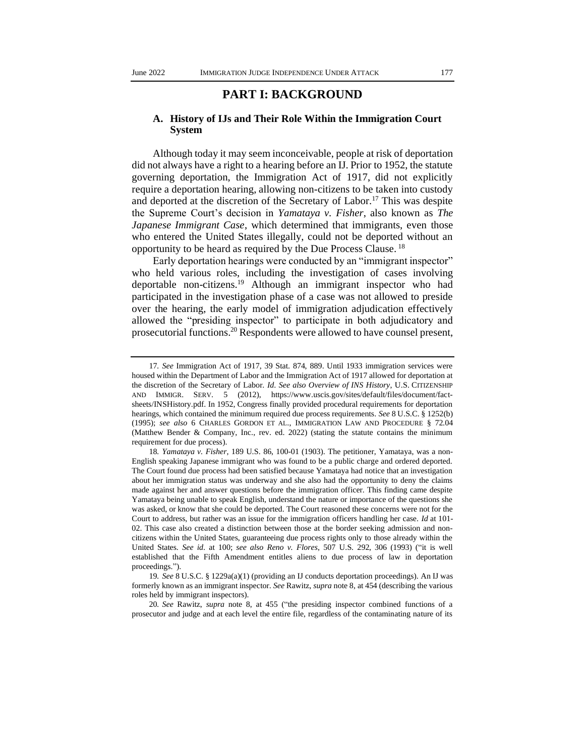# **PART I: BACKGROUND**

#### **A. History of IJs and Their Role Within the Immigration Court System**

Although today it may seem inconceivable, people at risk of deportation did not always have a right to a hearing before an IJ. Prior to 1952, the statute governing deportation, the Immigration Act of 1917, did not explicitly require a deportation hearing, allowing non-citizens to be taken into custody and deported at the discretion of the Secretary of Labor.<sup>17</sup> This was despite the Supreme Court's decision in *Yamataya v. Fisher*, also known as *The Japanese Immigrant Case*, which determined that immigrants, even those who entered the United States illegally, could not be deported without an opportunity to be heard as required by the Due Process Clause. <sup>18</sup>

Early deportation hearings were conducted by an "immigrant inspector" who held various roles, including the investigation of cases involving deportable non-citizens.<sup>19</sup> Although an immigrant inspector who had participated in the investigation phase of a case was not allowed to preside over the hearing, the early model of immigration adjudication effectively allowed the "presiding inspector" to participate in both adjudicatory and prosecutorial functions.<sup>20</sup> Respondents were allowed to have counsel present,

<sup>17</sup>*. See* Immigration Act of 1917, 39 Stat. 874, 889. Until 1933 immigration services were housed within the Department of Labor and the Immigration Act of 1917 allowed for deportation at the discretion of the Secretary of Labor. *Id*. *See also Overview of INS History*, U.S. CITIZENSHIP AND IMMIGR. SERV. 5 (2012), https://www.uscis.gov/sites/default/files/document/factsheets/INSHistory.pdf. In 1952, Congress finally provided procedural requirements for deportation hearings, which contained the minimum required due process requirements. *See* 8 U.S.C. § 1252(b) (1995); *see also* 6 CHARLES GORDON ET AL., IMMIGRATION LAW AND PROCEDURE § 72.04 (Matthew Bender & Company, Inc., rev. ed. 2022) (stating the statute contains the minimum requirement for due process).

<sup>18</sup>*. Yamataya v. Fisher*, 189 U.S. 86, 100-01 (1903). The petitioner, Yamataya, was a non-English speaking Japanese immigrant who was found to be a public charge and ordered deported. The Court found due process had been satisfied because Yamataya had notice that an investigation about her immigration status was underway and she also had the opportunity to deny the claims made against her and answer questions before the immigration officer. This finding came despite Yamataya being unable to speak English, understand the nature or importance of the questions she was asked, or know that she could be deported. The Court reasoned these concerns were not for the Court to address, but rather was an issue for the immigration officers handling her case. *Id* at 101- 02. This case also created a distinction between those at the border seeking admission and noncitizens within the United States, guaranteeing due process rights only to those already within the United States. *See id*. at 100; *see also Reno v. Flores*, 507 U.S. 292, 306 (1993) ("it is well established that the Fifth Amendment entitles aliens to due process of law in deportation proceedings.").

<sup>19</sup>*. See* 8 U.S.C. § 1229a(a)(1) (providing an IJ conducts deportation proceedings). An IJ was formerly known as an immigrant inspector. *See* Rawitz, *supra* note 8, at 454 (describing the various roles held by immigrant inspectors).

<sup>20</sup>*. See* Rawitz, *supra* note 8, at 455 ("the presiding inspector combined functions of a prosecutor and judge and at each level the entire file, regardless of the contaminating nature of its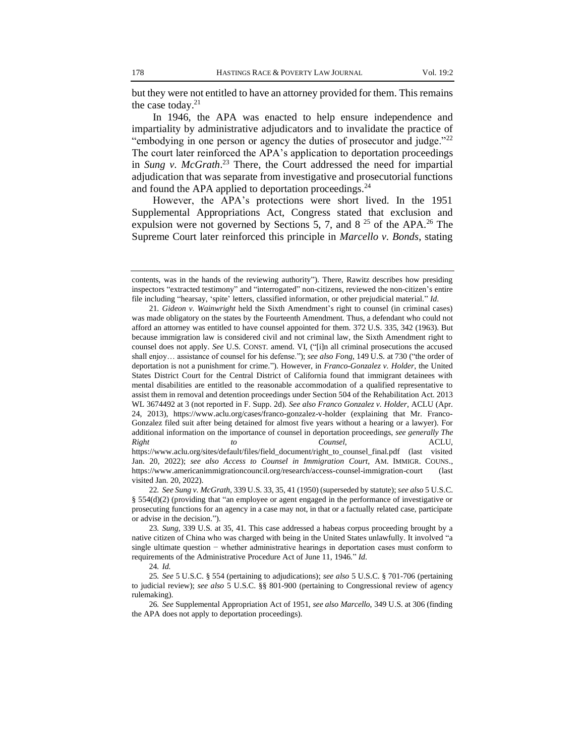but they were not entitled to have an attorney provided for them. This remains the case today.<sup>21</sup>

In 1946, the APA was enacted to help ensure independence and impartiality by administrative adjudicators and to invalidate the practice of "embodying in one person or agency the duties of prosecutor and judge."<sup>22</sup> The court later reinforced the APA's application to deportation proceedings in *Sung v. McGrath*. <sup>23</sup> There, the Court addressed the need for impartial adjudication that was separate from investigative and prosecutorial functions and found the APA applied to deportation proceedings. $^{24}$ 

However, the APA's protections were short lived. In the 1951 Supplemental Appropriations Act, Congress stated that exclusion and expulsion were not governed by Sections 5, 7, and 8  $25$  of the APA.<sup>26</sup> The Supreme Court later reinforced this principle in *Marcello v. Bonds*, stating

contents, was in the hands of the reviewing authority"). There, Rawitz describes how presiding inspectors "extracted testimony" and "interrogated" non-citizens, reviewed the non-citizen's entire file including "hearsay, 'spite' letters, classified information, or other prejudicial material." *Id*.

<sup>21</sup>*. Gideon v. Wainwright* held the Sixth Amendment's right to counsel (in criminal cases) was made obligatory on the states by the Fourteenth Amendment. Thus, a defendant who could not afford an attorney was entitled to have counsel appointed for them. 372 U.S. 335, 342 (1963). But because immigration law is considered civil and not criminal law, the Sixth Amendment right to counsel does not apply. *See* U.S. CONST. amend. VI, ("[i]n all criminal prosecutions the accused shall enjoy… assistance of counsel for his defense."); *see also Fong*, 149 U.S. at 730 ("the order of deportation is not a punishment for crime."). However, in *Franco-Gonzalez v. Holder*, the United States District Court for the Central District of California found that immigrant detainees with mental disabilities are entitled to the reasonable accommodation of a qualified representative to assist them in removal and detention proceedings under Section 504 of the Rehabilitation Act. 2013 WL 3674492 at 3 (not reported in F. Supp. 2d). *See also Franco Gonzalez v. Holder*, ACLU (Apr. 24, 2013), https://www.aclu.org/cases/franco-gonzalez-v-holder (explaining that Mr. Franco-Gonzalez filed suit after being detained for almost five years without a hearing or a lawyer). For additional information on the importance of counsel in deportation proceedings, *see generally The Right to Counsel*, ACLU, https://www.aclu.org/sites/default/files/field\_document/right\_to\_counsel\_final.pdf (last visited Jan. 20, 2022); *see also Access to Counsel in Immigration Court*, AM. IMMIGR. COUNS., https://www.americanimmigrationcouncil.org/research/access-counsel-immigration-court (last visited Jan. 20, 2022).

<sup>22</sup>*. See Sung v. McGrath*, 339 U.S. 33, 35, 41 (1950) (superseded by statute); *see also* 5 U.S.C. § 554(d)(2) (providing that "an employee or agent engaged in the performance of investigative or prosecuting functions for an agency in a case may not, in that or a factually related case, participate or advise in the decision.").

<sup>23</sup>*. Sung*, 339 U.S. at 35, 41. This case addressed a habeas corpus proceeding brought by a native citizen of China who was charged with being in the United States unlawfully. It involved "a single ultimate question − whether administrative hearings in deportation cases must conform to requirements of the Administrative Procedure Act of June 11, 1946." *Id*.

<sup>24</sup>*. Id.* 

<sup>25</sup>*. See* 5 U.S.C. § 554 (pertaining to adjudications); *see also* 5 U.S.C. § 701-706 (pertaining to judicial review); *see also* 5 U.S.C. §§ 801-900 (pertaining to Congressional review of agency rulemaking).

<sup>26</sup>*. See* Supplemental Appropriation Act of 1951, *see also Marcello*, 349 U.S. at 306 (finding the APA does not apply to deportation proceedings).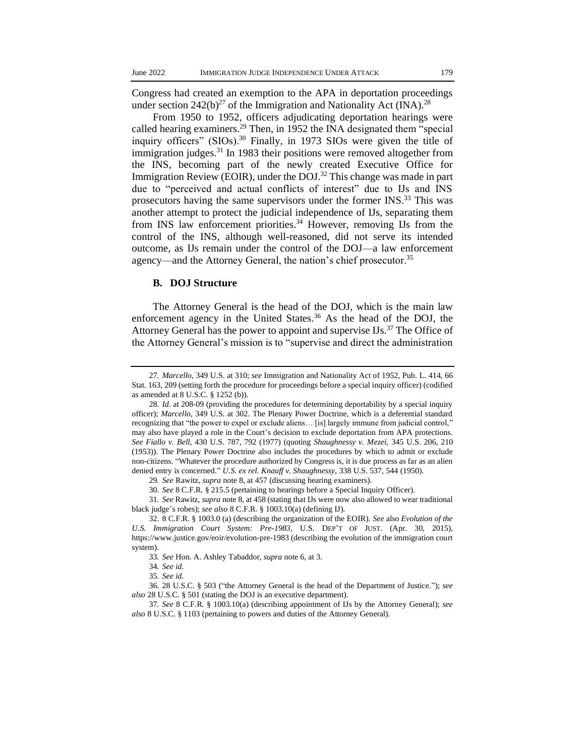Congress had created an exemption to the APA in deportation proceedings under section  $242(b)^{27}$  of the Immigration and Nationality Act (INA).<sup>28</sup>

From 1950 to 1952, officers adjudicating deportation hearings were called hearing examiners.<sup>29</sup> Then, in 1952 the INA designated them "special inquiry officers" (SIOs).<sup>30</sup> Finally, in 1973 SIOs were given the title of immigration judges.<sup>31</sup> In 1983 their positions were removed altogether from the INS, becoming part of the newly created Executive Office for Immigration Review (EOIR), under the DOJ.<sup>32</sup> This change was made in part due to "perceived and actual conflicts of interest" due to IJs and INS prosecutors having the same supervisors under the former INS.<sup>33</sup> This was another attempt to protect the judicial independence of IJs, separating them from INS law enforcement priorities.<sup>34</sup> However, removing IJs from the control of the INS, although well-reasoned, did not serve its intended outcome, as IJs remain under the control of the DOJ—a law enforcement agency—and the Attorney General, the nation's chief prosecutor.<sup>35</sup>

#### **B. DOJ Structure**

The Attorney General is the head of the DOJ, which is the main law enforcement agency in the United States.<sup>36</sup> As the head of the DOJ, the Attorney General has the power to appoint and supervise  $\text{Us.}^{37}$  The Office of the Attorney General's mission is to "supervise and direct the administration

<sup>27</sup>*. Marcello*, 349 U.S. at 310; *see* Immigration and Nationality Act of 1952, Pub. L. 414, 66 Stat. 163, 209 (setting forth the procedure for proceedings before a special inquiry officer) (codified as amended at 8 U.S.C. § 1252 (b)).

<sup>28</sup>*. Id*. at 208-09 (providing the procedures for determining deportability by a special inquiry officer); *Marcello*, 349 U.S. at 302. The Plenary Power Doctrine, which is a deferential standard recognizing that "the power to expel or exclude aliens… [is] largely immune from judicial control," may also have played a role in the Court's decision to exclude deportation from APA protections. *See Fiallo v. Bell*, 430 U.S. 787, 792 (1977) (quoting *Shaughnessy v. Mezei*, 345 U.S. 206, 210 (1953)). The Plenary Power Doctrine also includes the procedures by which to admit or exclude non-citizens. "Whatever the procedure authorized by Congress is, it is due process as far as an alien denied entry is concerned." *U.S. ex rel*. *Knauff v. Shaughnessy*, 338 U.S. 537, 544 (1950).

<sup>29</sup>*. See* Rawitz, *supra* note 8, at 457 (discussing hearing examiners).

<sup>30</sup>*. See* 8 C.F.R. § 215.5 (pertaining to hearings before a Special Inquiry Officer).

<sup>31</sup>*. See* Rawitz, *supra* note 8, at 458 (stating that IJs were now also allowed to wear traditional black judge's robes); *see also* 8 C.F.R. § 1003.10(a) (defining IJ).

<sup>32.</sup> 8 C.F.R. § 1003.0 (a) (describing the organization of the EOIR). *See* also *Evolution of the U.S. Immigration Court System: Pre-1983*, U.S. DEP'T OF JUST. (Apr. 30, 2015), https://www.justice.gov/eoir/evolution-pre-1983 (describing the evolution of the immigration court system).

<sup>33</sup>*. See* Hon. A. Ashley Tabaddor, *supra* note 6, at 3.

<sup>34</sup>*. See id*.

<sup>35</sup>*. See id.*

<sup>36.</sup> 28 U.S.C. § 503 ("the Attorney General is the head of the Department of Justice."); *see also* 28 U.S.C. § 501 (stating the DOJ is an executive department).

<sup>37</sup>*. See* 8 C.F.R. § 1003.10(a) (describing appointment of IJs by the Attorney General); *see also* 8 U.S.C. § 1103 (pertaining to powers and duties of the Attorney General).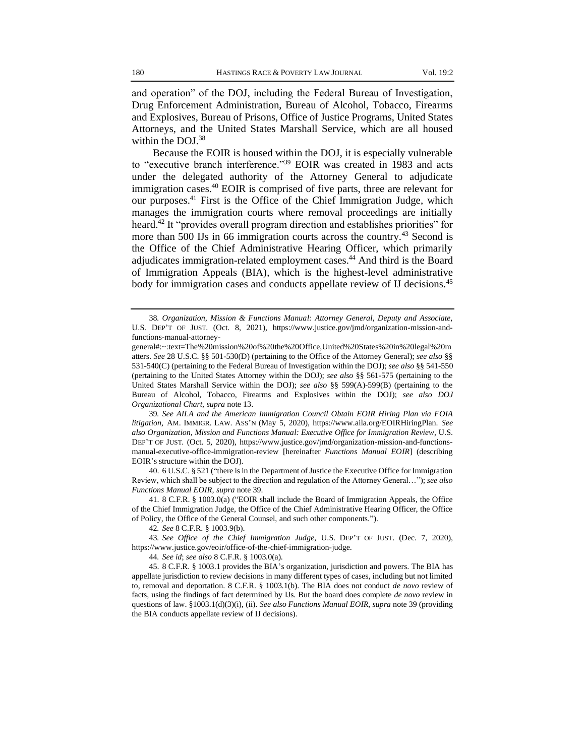and operation" of the DOJ, including the Federal Bureau of Investigation, Drug Enforcement Administration, Bureau of Alcohol, Tobacco, Firearms and Explosives, Bureau of Prisons, Office of Justice Programs, United States Attorneys, and the United States Marshall Service, which are all housed within the DOJ.<sup>38</sup>

Because the EOIR is housed within the DOJ, it is especially vulnerable to "executive branch interference."<sup>39</sup> EOIR was created in 1983 and acts under the delegated authority of the Attorney General to adjudicate immigration cases.<sup>40</sup> EOIR is comprised of five parts, three are relevant for our purposes.<sup>41</sup> First is the Office of the Chief Immigration Judge, which manages the immigration courts where removal proceedings are initially heard.<sup>42</sup> It "provides overall program direction and establishes priorities" for more than 500 IJs in 66 immigration courts across the country.<sup>43</sup> Second is the Office of the Chief Administrative Hearing Officer, which primarily adjudicates immigration-related employment cases.<sup>44</sup> And third is the Board of Immigration Appeals (BIA), which is the highest-level administrative body for immigration cases and conducts appellate review of IJ decisions.<sup>45</sup>

39*. See AILA and the American Immigration Council Obtain EOIR Hiring Plan via FOIA litigation*, AM. IMMIGR. LAW. ASS'N (May 5, 2020), https://www.aila.org/EOIRHiringPlan. *See also Organization, Mission and Functions Manual: Executive Office for Immigration Review*, U.S. DEP'T OF JUST. (Oct. 5, 2020), https://www.justice.gov/jmd/organization-mission-and-functionsmanual-executive-office-immigration-review [hereinafter *Functions Manual EOIR*] (describing EOIR's structure within the DOJ).

40. 6 U.S.C. § 521 ("there is in the Department of Justice the Executive Office for Immigration Review, which shall be subject to the direction and regulation of the Attorney General…"); *see also Functions Manual EOIR*, *supra* note 39.

41. 8 C.F.R. § 1003.0(a) ("EOIR shall include the Board of Immigration Appeals, the Office of the Chief Immigration Judge, the Office of the Chief Administrative Hearing Officer, the Office of Policy, the Office of the General Counsel, and such other components.").

42*. See* 8 C.F.R. § 1003.9(b).

43*. See Office of the Chief Immigration Judge*, U.S. DEP'T OF JUST. (Dec. 7, 2020), https://www.justice.gov/eoir/office-of-the-chief-immigration-judge.

44*. See id*; *see also* 8 C.F.R. § 1003.0(a).

45. 8 C.F.R. § 1003.1 provides the BIA's organization, jurisdiction and powers. The BIA has appellate jurisdiction to review decisions in many different types of cases, including but not limited to, removal and deportation. 8 C.F.R. § 1003.1(b). The BIA does not conduct *de novo* review of facts, using the findings of fact determined by IJs. But the board does complete *de novo* review in questions of law. §1003.1(d)(3)(i), (ii). *See also Functions Manual EOIR*, *supra* note 39 (providing the BIA conducts appellate review of IJ decisions).

<sup>38</sup>*. Organization, Mission & Functions Manual: Attorney General, Deputy and Associate*, U.S. DEP'T OF JUST. (Oct. 8, 2021), https://www.justice.gov/jmd/organization-mission-andfunctions-manual-attorney-

general#:~:text=The%20mission%20of%20the%20Office,United%20States%20in%20legal%20m atters. *See* 28 U.S.C. §§ 501-530(D) (pertaining to the Office of the Attorney General); *see also* §§ 531-540(C) (pertaining to the Federal Bureau of Investigation within the DOJ); *see also* §§ 541-550 (pertaining to the United States Attorney within the DOJ); *see also* §§ 561-575 (pertaining to the United States Marshall Service within the DOJ); *see also* §§ 599(A)-599(B) (pertaining to the Bureau of Alcohol, Tobacco, Firearms and Explosives within the DOJ); *see also DOJ Organizational Chart*, *supra* note 13.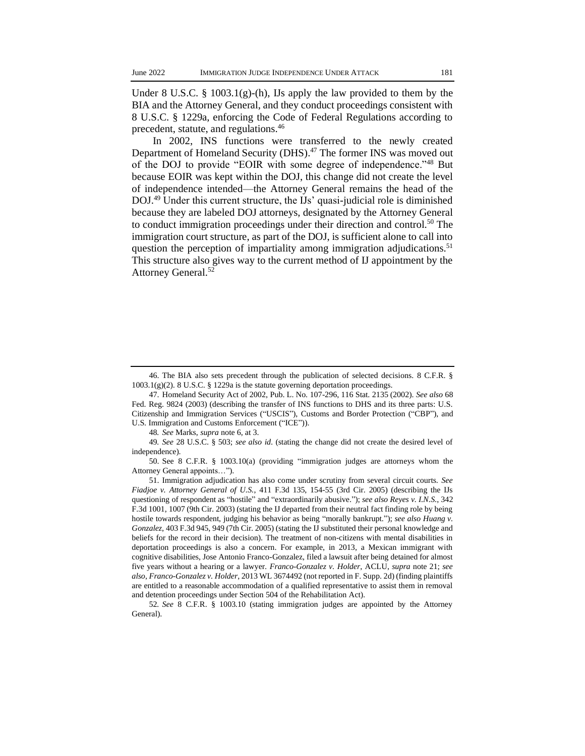Under 8 U.S.C. § 1003.1(g)-(h), IJs apply the law provided to them by the BIA and the Attorney General, and they conduct proceedings consistent with 8 U.S.C. § 1229a, enforcing the Code of Federal Regulations according to precedent, statute, and regulations.<sup>46</sup>

In 2002, INS functions were transferred to the newly created Department of Homeland Security (DHS).<sup>47</sup> The former INS was moved out of the DOJ to provide "EOIR with some degree of independence."<sup>48</sup> But because EOIR was kept within the DOJ, this change did not create the level of independence intended—the Attorney General remains the head of the DOJ.<sup>49</sup> Under this current structure, the IJs' quasi-judicial role is diminished because they are labeled DOJ attorneys, designated by the Attorney General to conduct immigration proceedings under their direction and control.<sup>50</sup> The immigration court structure, as part of the DOJ, is sufficient alone to call into question the perception of impartiality among immigration adjudications.<sup>51</sup> This structure also gives way to the current method of IJ appointment by the Attorney General.<sup>52</sup>

48*. See* Marks, *supra* note 6, at 3.

<sup>46.</sup> The BIA also sets precedent through the publication of selected decisions. 8 C.F.R. §  $1003.1(g)(2)$ . 8 U.S.C. § 1229a is the statute governing deportation proceedings.

<sup>47.</sup> Homeland Security Act of 2002, Pub. L. No. 107-296, 116 Stat. 2135 (2002). *See also* 68 Fed. Reg. 9824 (2003) (describing the transfer of INS functions to DHS and its three parts: U.S. Citizenship and Immigration Services ("USCIS"), Customs and Border Protection ("CBP"), and U.S. Immigration and Customs Enforcement ("ICE")).

<sup>49</sup>*. See* 28 U.S.C. § 503; *see also id*. (stating the change did not create the desired level of independence).

<sup>50.</sup> See 8 C.F.R. § 1003.10(a) (providing "immigration judges are attorneys whom the Attorney General appoints…").

<sup>51.</sup> Immigration adjudication has also come under scrutiny from several circuit courts. *See Fiadjoe v. Attorney General of U.S.*, 411 F.3d 135, 154-55 (3rd Cir. 2005) (describing the IJs questioning of respondent as "hostile" and "extraordinarily abusive."); *see also Reyes v. I.N.S*., 342 F.3d 1001, 1007 (9th Cir. 2003) (stating the IJ departed from their neutral fact finding role by being hostile towards respondent, judging his behavior as being "morally bankrupt."); *see also Huang v. Gonzalez*, 403 F.3d 945, 949 (7th Cir. 2005) (stating the IJ substituted their personal knowledge and beliefs for the record in their decision). The treatment of non-citizens with mental disabilities in deportation proceedings is also a concern. For example, in 2013, a Mexican immigrant with cognitive disabilities, Jose Antonio Franco-Gonzalez, filed a lawsuit after being detained for almost five years without a hearing or a lawyer. *Franco-Gonzalez v. Holder*, ACLU, *supra* note 21; *see also*, *Franco-Gonzalez v. Holder*, 2013 WL 3674492 (not reported in F. Supp. 2d) (finding plaintiffs are entitled to a reasonable accommodation of a qualified representative to assist them in removal and detention proceedings under Section 504 of the Rehabilitation Act).

<sup>52</sup>*. See* 8 C.F.R. § 1003.10 (stating immigration judges are appointed by the Attorney General).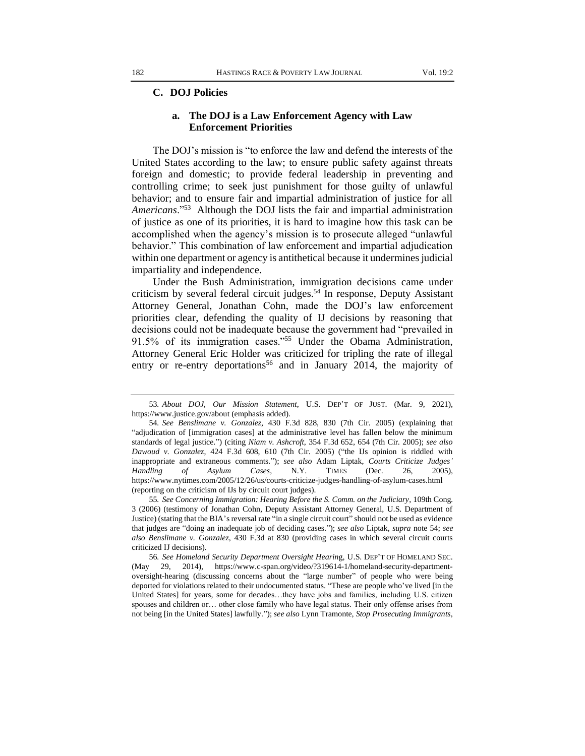#### **C. DOJ Policies**

#### **a. The DOJ is a Law Enforcement Agency with Law Enforcement Priorities**

The DOJ's mission is "to enforce the law and defend the interests of the United States according to the law; to ensure public safety against threats foreign and domestic; to provide federal leadership in preventing and controlling crime; to seek just punishment for those guilty of unlawful behavior; and to ensure fair and impartial administration of justice for all *Americans*."<sup>53</sup> Although the DOJ lists the fair and impartial administration of justice as one of its priorities, it is hard to imagine how this task can be accomplished when the agency's mission is to prosecute alleged "unlawful behavior." This combination of law enforcement and impartial adjudication within one department or agency is antithetical because it undermines judicial impartiality and independence.

Under the Bush Administration, immigration decisions came under criticism by several federal circuit judges.<sup>54</sup> In response, Deputy Assistant Attorney General, Jonathan Cohn, made the DOJ's law enforcement priorities clear, defending the quality of IJ decisions by reasoning that decisions could not be inadequate because the government had "prevailed in 91.5% of its immigration cases."<sup>55</sup> Under the Obama Administration, Attorney General Eric Holder was criticized for tripling the rate of illegal entry or re-entry deportations<sup>56</sup> and in January 2014, the majority of

<sup>53</sup>*. About DOJ*, *Our Mission Statement*, U.S. DEP'T OF JUST. (Mar. 9, 2021), https://www.justice.gov/about (emphasis added).

<sup>54</sup>*. See Benslimane v. Gonzalez*, 430 F.3d 828, 830 (7th Cir. 2005) (explaining that "adjudication of [immigration cases] at the administrative level has fallen below the minimum standards of legal justice.") (citing *Niam v. Ashcroft*, 354 F.3d 652, 654 (7th Cir. 2005); *see also Dawoud v. Gonzalez*, 424 F.3d 608, 610 (7th Cir. 2005) ("the IJs opinion is riddled with inappropriate and extraneous comments."); *see also* Adam Liptak, *Courts Criticize Judges' Handling of Asylum Cases*, N.Y. TIMES (Dec. 26, 2005), https://www.nytimes.com/2005/12/26/us/courts-criticize-judges-handling-of-asylum-cases.html (reporting on the criticism of IJs by circuit court judges).

<sup>55</sup>*. See Concerning Immigration: Hearing Before the S. Comm. on the Judiciary*, 109th Cong. 3 (2006) (testimony of Jonathan Cohn, Deputy Assistant Attorney General, U.S. Department of Justice) (stating that the BIA's reversal rate "in a single circuit court" should not be used as evidence that judges are "doing an inadequate job of deciding cases."); *see also* Liptak, *supra* note 54; *see also Benslimane v. Gonzalez*, 430 F.3d at 830 (providing cases in which several circuit courts criticized IJ decisions).

<sup>56</sup>*. See Homeland Security Department Oversight Hearin*g, U.S. DEP'T OF HOMELAND SEC. (May 29, 2014), https://www.c-span.org/video/?319614-1/homeland-security-departmentoversight-hearing (discussing concerns about the "large number" of people who were being deported for violations related to their undocumented status. "These are people who've lived [in the United States] for years, some for decades…they have jobs and families, including U.S. citizen spouses and children or… other close family who have legal status. Their only offense arises from not being [in the United States] lawfully."); *see also* Lynn Tramonte*, Stop Prosecuting Immigrants*,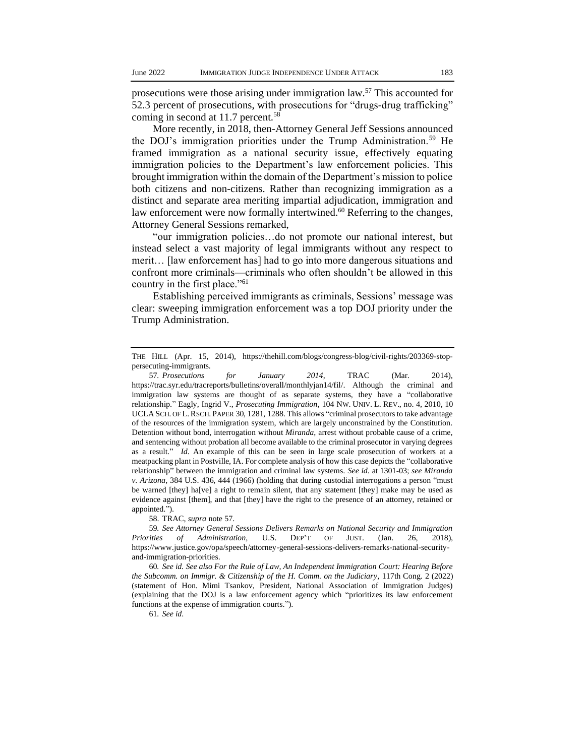prosecutions were those arising under immigration law.<sup>57</sup> This accounted for 52.3 percent of prosecutions, with prosecutions for "drugs-drug trafficking" coming in second at 11.7 percent.<sup>58</sup>

More recently, in 2018, then-Attorney General Jeff Sessions announced the DOJ's immigration priorities under the Trump Administration.<sup>59</sup> He framed immigration as a national security issue, effectively equating immigration policies to the Department's law enforcement policies. This brought immigration within the domain of the Department's mission to police both citizens and non-citizens. Rather than recognizing immigration as a distinct and separate area meriting impartial adjudication, immigration and law enforcement were now formally intertwined.<sup>60</sup> Referring to the changes, Attorney General Sessions remarked,

"our immigration policies…do not promote our national interest, but instead select a vast majority of legal immigrants without any respect to merit… [law enforcement has] had to go into more dangerous situations and confront more criminals—criminals who often shouldn't be allowed in this country in the first place."<sup>61</sup>

Establishing perceived immigrants as criminals, Sessions' message was clear: sweeping immigration enforcement was a top DOJ priority under the Trump Administration.

58. TRAC*, supra* note 57.

59*. See Attorney General Sessions Delivers Remarks on National Security and Immigration Priorities of Administration,* U.S. DEP'T OF JUST. (Jan. 26, 2018), https://www.justice.gov/opa/speech/attorney-general-sessions-delivers-remarks-national-securityand-immigration-priorities.

60*. See id. See also For the Rule of Law, An Independent Immigration Court: Hearing Before the Subcomm. on Immigr. & Citizenship of the H. Comm. on the Judiciary*, 117th Cong. 2 (2022) (statement of Hon. Mimi Tsankov, President, National Association of Immigration Judges) (explaining that the DOJ is a law enforcement agency which "prioritizes its law enforcement functions at the expense of immigration courts.").

61*. See id*.

THE HILL (Apr. 15, 2014), https://thehill.com/blogs/congress-blog/civil-rights/203369-stoppersecuting-immigrants.

<sup>57</sup>*. Prosecutions for January 2014*, TRAC (Mar. 2014)*,*  https://trac.syr.edu/tracreports/bulletins/overall/monthlyjan14/fil/. Although the criminal and immigration law systems are thought of as separate systems, they have a "collaborative relationship." Eagly, Ingrid V., *Prosecuting Immigration*, 104 NW. UNIV. L. REV., no. 4, 2010, 10 UCLA SCH. OF L.RSCH. PAPER 30, 1281, 1288. This allows "criminal prosecutors to take advantage of the resources of the immigration system, which are largely unconstrained by the Constitution. Detention without bond, interrogation without *Miranda*, arrest without probable cause of a crime, and sentencing without probation all become available to the criminal prosecutor in varying degrees as a result." *Id*. An example of this can be seen in large scale prosecution of workers at a meatpacking plant in Postville, IA. For complete analysis of how this case depicts the "collaborative relationship" between the immigration and criminal law systems. *See id*. at 1301-03; *see Miranda v. Arizona*, 384 U.S. 436, 444 (1966) (holding that during custodial interrogations a person "must be warned [they] ha[ve] a right to remain silent, that any statement [they] make may be used as evidence against [them], and that [they] have the right to the presence of an attorney, retained or appointed.").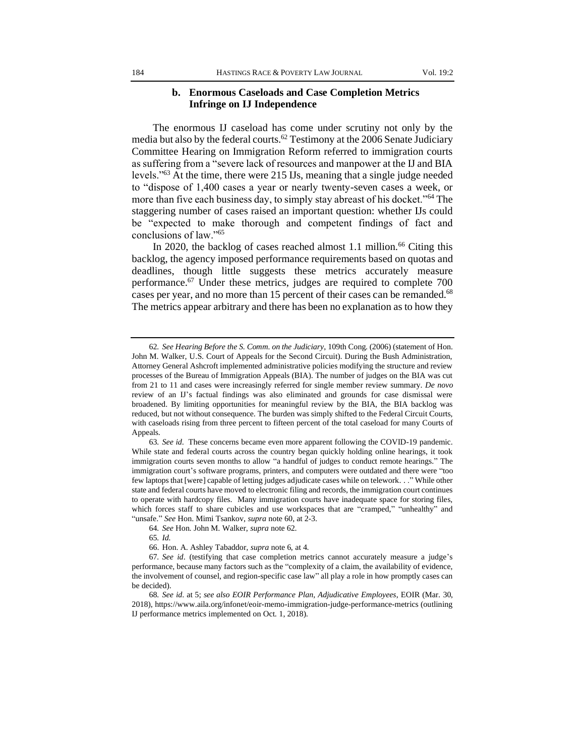#### **b. Enormous Caseloads and Case Completion Metrics Infringe on IJ Independence**

The enormous IJ caseload has come under scrutiny not only by the media but also by the federal courts.<sup>62</sup> Testimony at the 2006 Senate Judiciary Committee Hearing on Immigration Reform referred to immigration courts as suffering from a "severe lack of resources and manpower at the IJ and BIA levels."<sup>63</sup> At the time, there were 215 IJs, meaning that a single judge needed to "dispose of 1,400 cases a year or nearly twenty-seven cases a week, or more than five each business day, to simply stay abreast of his docket."<sup>64</sup> The staggering number of cases raised an important question: whether IJs could be "expected to make thorough and competent findings of fact and conclusions of law."<sup>65</sup>

In 2020, the backlog of cases reached almost 1.1 million.<sup>66</sup> Citing this backlog, the agency imposed performance requirements based on quotas and deadlines, though little suggests these metrics accurately measure performance.<sup>67</sup> Under these metrics, judges are required to complete 700 cases per year, and no more than 15 percent of their cases can be remanded.<sup>68</sup> The metrics appear arbitrary and there has been no explanation as to how they

<sup>62</sup>*. See Hearing Before the S. Comm. on the Judiciary*, 109th Cong. (2006) (statement of Hon. John M. Walker, U.S. Court of Appeals for the Second Circuit). During the Bush Administration, Attorney General Ashcroft implemented administrative policies modifying the structure and review processes of the Bureau of Immigration Appeals (BIA). The number of judges on the BIA was cut from 21 to 11 and cases were increasingly referred for single member review summary. *De novo* review of an IJ's factual findings was also eliminated and grounds for case dismissal were broadened. By limiting opportunities for meaningful review by the BIA, the BIA backlog was reduced, but not without consequence. The burden was simply shifted to the Federal Circuit Courts, with caseloads rising from three percent to fifteen percent of the total caseload for many Courts of Appeals.

<sup>63</sup>*. See id*. These concerns became even more apparent following the COVID-19 pandemic. While state and federal courts across the country began quickly holding online hearings, it took immigration courts seven months to allow "a handful of judges to conduct remote hearings." The immigration court's software programs, printers, and computers were outdated and there were "too few laptops that [were] capable of letting judges adjudicate cases while on telework. . ." While other state and federal courts have moved to electronic filing and records, the immigration court continues to operate with hardcopy files. Many immigration courts have inadequate space for storing files, which forces staff to share cubicles and use workspaces that are "cramped," "unhealthy" and "unsafe." *See* Hon. Mimi Tsankov, *supra* note 60, at 2-3.

<sup>64</sup>*. See* Hon. John M. Walker, *supra* note 62.

<sup>65</sup>*. Id.*

<sup>66.</sup> Hon. A. Ashley Tabaddor, *supra* note 6, at 4.

<sup>67</sup>*. See id*. (testifying that case completion metrics cannot accurately measure a judge's performance, because many factors such as the "complexity of a claim, the availability of evidence, the involvement of counsel, and region-specific case law" all play a role in how promptly cases can be decided).

<sup>68</sup>*. See id*. at 5; *see also EOIR Performance Plan, Adjudicative Employees*, EOIR (Mar. 30, 2018), https://www.aila.org/infonet/eoir-memo-immigration-judge-performance-metrics (outlining IJ performance metrics implemented on Oct. 1, 2018).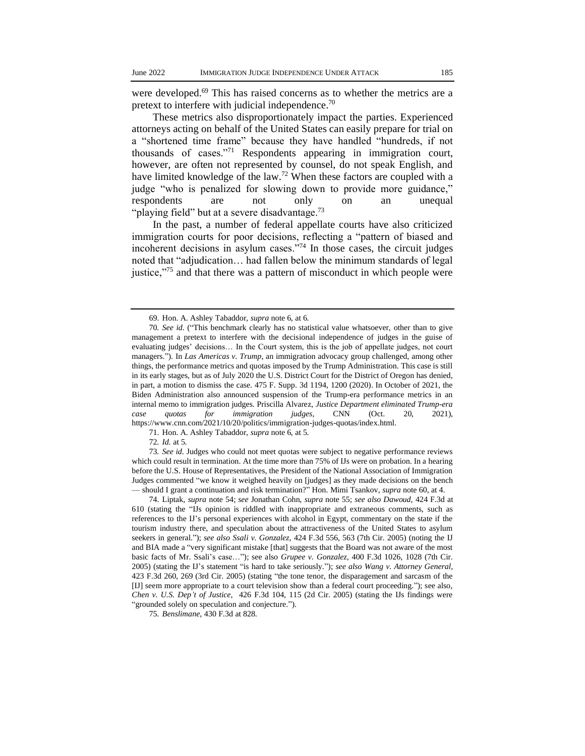were developed.<sup>69</sup> This has raised concerns as to whether the metrics are a pretext to interfere with judicial independence.<sup>70</sup>

These metrics also disproportionately impact the parties. Experienced attorneys acting on behalf of the United States can easily prepare for trial on a "shortened time frame" because they have handled "hundreds, if not thousands of cases."<sup>71</sup> Respondents appearing in immigration court, however, are often not represented by counsel, do not speak English, and have limited knowledge of the law.<sup>72</sup> When these factors are coupled with a judge "who is penalized for slowing down to provide more guidance," respondents are not only on an unequal "playing field" but at a severe disadvantage.<sup>73</sup>

In the past, a number of federal appellate courts have also criticized immigration courts for poor decisions, reflecting a "pattern of biased and incoherent decisions in asylum cases."<sup>74</sup> In those cases, the circuit judges noted that "adjudication… had fallen below the minimum standards of legal justice,"<sup>75</sup> and that there was a pattern of misconduct in which people were

71. Hon. A. Ashley Tabaddor, *supra* note 6, at 5.

72*. Id.* at 5.

73*. See id*. Judges who could not meet quotas were subject to negative performance reviews which could result in termination. At the time more than 75% of IJs were on probation. In a hearing before the U.S. House of Representatives, the President of the National Association of Immigration Judges commented "we know it weighed heavily on [judges] as they made decisions on the bench — should I grant a continuation and risk termination?" Hon. Mimi Tsankov, *supra* note 60, at 4.

74. Liptak, *supra* note 54; *see* Jonathan Cohn, *supra* note 55; *see also Dawoud*, 424 F.3d at 610 (stating the "IJs opinion is riddled with inappropriate and extraneous comments, such as references to the IJ's personal experiences with alcohol in Egypt, commentary on the state if the tourism industry there, and speculation about the attractiveness of the United States to asylum seekers in general."); *see also Ssali v. Gonzalez*, 424 F.3d 556, 563 (7th Cir. 2005) (noting the IJ and BIA made a "very significant mistake [that] suggests that the Board was not aware of the most basic facts of Mr. Ssali's case…"); see also *Grupee v. Gonzalez*, 400 F.3d 1026, 1028 (7th Cir. 2005) (stating the IJ's statement "is hard to take seriously."); *see also Wang v. Attorney General*, 423 F.3d 260, 269 (3rd Cir. 2005) (stating "the tone tenor, the disparagement and sarcasm of the [IJ] seem more appropriate to a court television show than a federal court proceeding."); see also, *Chen v. U.S. Dep't of Justice*, 426 F.3d 104, 115 (2d Cir. 2005) (stating the IJs findings were "grounded solely on speculation and conjecture.").

75*. Benslimane*, 430 F.3d at 828.

<sup>69.</sup> Hon. A. Ashley Tabaddor, *supra* note 6, at 6.

<sup>70</sup>*. See id*. ("This benchmark clearly has no statistical value whatsoever, other than to give management a pretext to interfere with the decisional independence of judges in the guise of evaluating judges' decisions… In the Court system, this is the job of appellate judges, not court managers."). In *Las Americas v. Trump*, an immigration advocacy group challenged, among other things, the performance metrics and quotas imposed by the Trump Administration. This case is still in its early stages, but as of July 2020 the U.S. District Court for the District of Oregon has denied, in part, a motion to dismiss the case. 475 F. Supp. 3d 1194, 1200 (2020). In October of 2021, the Biden Administration also announced suspension of the Trump-era performance metrics in an internal memo to immigration judges. Priscilla Alvarez, *Justice Department eliminated Trump-era case quotas for immigration judges*, CNN (Oct. 20, 2021), https://www.cnn.com/2021/10/20/politics/immigration-judges-quotas/index.html.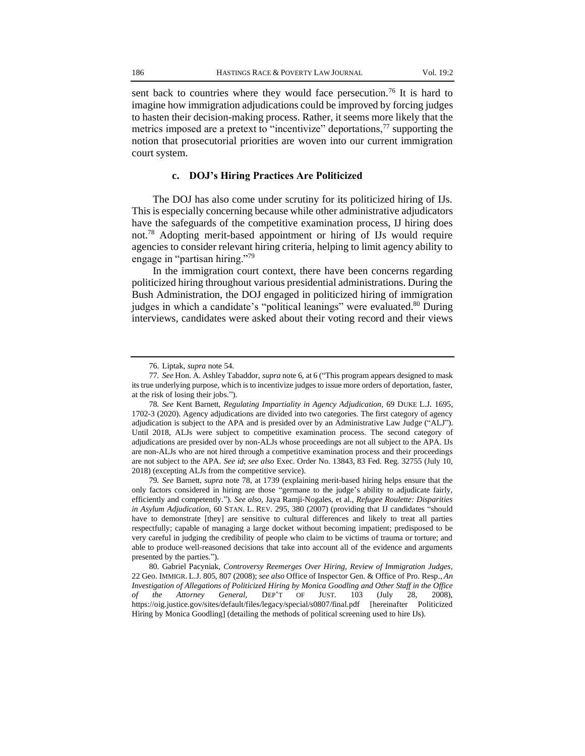sent back to countries where they would face persecution.<sup>76</sup> It is hard to imagine how immigration adjudications could be improved by forcing judges to hasten their decision-making process. Rather, it seems more likely that the metrics imposed are a pretext to "incentivize" deportations,  $\frac{7}{7}$  supporting the notion that prosecutorial priorities are woven into our current immigration court system.

#### **c. DOJ's Hiring Practices Are Politicized**

The DOJ has also come under scrutiny for its politicized hiring of IJs. This is especially concerning because while other administrative adjudicators have the safeguards of the competitive examination process, IJ hiring does not.<sup>78</sup> Adopting merit-based appointment or hiring of IJs would require agencies to consider relevant hiring criteria, helping to limit agency ability to engage in "partisan hiring."<sup>79</sup>

In the immigration court context, there have been concerns regarding politicized hiring throughout various presidential administrations. During the Bush Administration, the DOJ engaged in politicized hiring of immigration judges in which a candidate's "political leanings" were evaluated.<sup>80</sup> During interviews, candidates were asked about their voting record and their views

<sup>76.</sup> Liptak, *supra* note 54.

<sup>77</sup>*. See* Hon. A. Ashley Tabaddor, *supra* note 6, at 6 ("This program appears designed to mask its true underlying purpose, which is to incentivize judges to issue more orders of deportation, faster, at the risk of losing their jobs.").

<sup>78</sup>*. See* Kent Barnett, *Regulating Impartiality in Agency Adjudication*, 69 DUKE L.J. 1695, 1702-3 (2020). Agency adjudications are divided into two categories. The first category of agency adjudication is subject to the APA and is presided over by an Administrative Law Judge ("ALJ"). Until 2018, ALJs were subject to competitive examination process. The second category of adjudications are presided over by non-ALJs whose proceedings are not all subject to the APA. IJs are non-ALJs who are not hired through a competitive examination process and their proceedings are not subject to the APA. *See id*; *see also* Exec. Order No. 13843, 83 Fed. Reg. 32755 (July 10, 2018) (excepting ALJs from the competitive service).

<sup>79</sup>*. See* Barnett, *supra* note 78, at 1739 (explaining merit-based hiring helps ensure that the only factors considered in hiring are those "germane to the judge's ability to adjudicate fairly, efficiently and competently."). *See also*, Jaya Ramji-Nogales, et al., *Refugee Roulette: Disparities in Asylum Adjudication*, 60 STAN. L. REV. 295, 380 (2007) (providing that IJ candidates "should have to demonstrate [they] are sensitive to cultural differences and likely to treat all parties respectfully; capable of managing a large docket without becoming impatient; predisposed to be very careful in judging the credibility of people who claim to be victims of trauma or torture; and able to produce well-reasoned decisions that take into account all of the evidence and arguments presented by the parties.").

<sup>80.</sup> Gabriel Pacyniak, *Controversy Reemerges Over Hiring, Review of Immigration Judges*, 22 Geo. IMMIGR. L.J. 805, 807 (2008); *see also* Office of Inspector Gen. & Office of Pro. Resp., *An Investigation of Allegations of Politicized Hiring by Monica Goodling and Other Staff in the Office of the Attorney General*, DEP'T OF JUST. 103 (July 28, 2008), https://oig.justice.gov/sites/default/files/legacy/special/s0807/final.pdf [hereinafter Politicized Hiring by Monica Goodling] (detailing the methods of political screening used to hire IJs).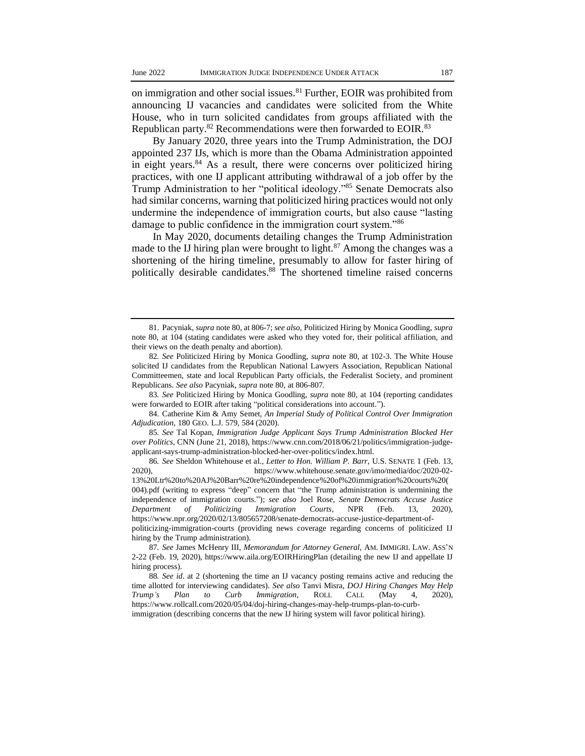on immigration and other social issues.<sup>81</sup> Further, EOIR was prohibited from announcing IJ vacancies and candidates were solicited from the White House, who in turn solicited candidates from groups affiliated with the Republican party.<sup>82</sup> Recommendations were then forwarded to EOIR.<sup>83</sup>

By January 2020, three years into the Trump Administration, the DOJ appointed 237 IJs, which is more than the Obama Administration appointed in eight years. $84$  As a result, there were concerns over politicized hiring practices, with one IJ applicant attributing withdrawal of a job offer by the Trump Administration to her "political ideology."<sup>85</sup> Senate Democrats also had similar concerns, warning that politicized hiring practices would not only undermine the independence of immigration courts, but also cause "lasting damage to public confidence in the immigration court system."<sup>86</sup>

In May 2020, documents detailing changes the Trump Administration made to the IJ hiring plan were brought to light. $87$  Among the changes was a shortening of the hiring timeline, presumably to allow for faster hiring of politically desirable candidates.<sup>88</sup> The shortened timeline raised concerns

85*. See* Tal Kopan, *Immigration Judge Applicant Says Trump Administration Blocked Her over Politics*, CNN (June 21, 2018), https://www.cnn.com/2018/06/21/politics/immigration-judgeapplicant-says-trump-administration-blocked-her-over-politics/index.html.

<sup>81.</sup> Pacyniak, *supra* note 80, at 806-7; *see also,* Politicized Hiring by Monica Goodling, *supra* note 80, at 104 (stating candidates were asked who they voted for, their political affiliation, and their views on the death penalty and abortion).

<sup>82</sup>*. See* Politicized Hiring by Monica Goodling, *supra* note 80, at 102-3. The White House solicited IJ candidates from the Republican National Lawyers Association, Republican National Committeemen, state and local Republican Party officials, the Federalist Society, and prominent Republicans. *See also* Pacyniak, *supra* note 80, at 806-807.

<sup>83</sup>*. See* Politicized Hiring by Monica Goodling, *supra* note 80, at 104 (reporting candidates were forwarded to EOIR after taking "political considerations into account.").

<sup>84.</sup> Catherine Kim & Amy Semet, *An Imperial Study of Political Control Over Immigration Adjudication*, 180 GEO. L.J. 579, 584 (2020).

<sup>86</sup>*. See* Sheldon Whitehouse et al., *Letter to Hon. William P. Barr*, U.S. SENATE 1 (Feb. 13, 2020), https://www.whitehouse.senate.gov/imo/media/doc/2020-02- 13%20Ltr%20to%20AJ%20Barr%20re%20independence%20of%20immigration%20courts%20( 004).pdf (writing to express "deep" concern that "the Trump administration is undermining the independence of immigration courts."); *see also* Joel Rose, *Senate Democrats Accuse Justice Department of Politicizing Immigration Courts*, NPR (Feb. 13, 2020), https://www.npr.org/2020/02/13/805657208/senate-democrats-accuse-justice-department-ofpoliticizing-immigration-courts (providing news coverage regarding concerns of politicized IJ hiring by the Trump administration).

<sup>87</sup>*. See* James McHenry III, *Memorandum for Attorney General*, AM. IMMIGRI. LAW. ASS'N 2-22 (Feb. 19, 2020), https://www.aila.org/EOIRHiringPlan (detailing the new IJ and appellate IJ hiring process).

<sup>88</sup>*. See id*. at 2 (shortening the time an IJ vacancy posting remains active and reducing the time allotted for interviewing candidates). *See also* Tanvi Misra, *DOJ Hiring Changes May Help Trump's Plan to Curb Immigration*, ROLL CALL (May 4, 2020), https://www.rollcall.com/2020/05/04/doj-hiring-changes-may-help-trumps-plan-to-curbimmigration (describing concerns that the new IJ hiring system will favor political hiring).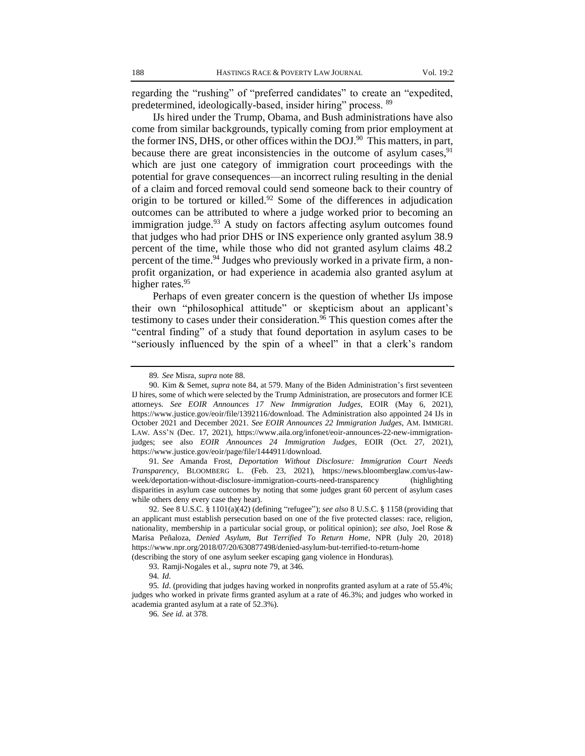regarding the "rushing" of "preferred candidates" to create an "expedited, predetermined, ideologically-based, insider hiring" process. <sup>89</sup>

IJs hired under the Trump, Obama, and Bush administrations have also come from similar backgrounds, typically coming from prior employment at the former INS, DHS, or other offices within the DOJ.<sup>90</sup> This matters, in part, because there are great inconsistencies in the outcome of asylum cases,  $91$ which are just one category of immigration court proceedings with the potential for grave consequences—an incorrect ruling resulting in the denial of a claim and forced removal could send someone back to their country of origin to be tortured or killed.<sup>92</sup> Some of the differences in adjudication outcomes can be attributed to where a judge worked prior to becoming an immigration judge. $93$  A study on factors affecting asylum outcomes found that judges who had prior DHS or INS experience only granted asylum 38.9 percent of the time, while those who did not granted asylum claims 48.2 percent of the time.<sup>94</sup> Judges who previously worked in a private firm, a nonprofit organization, or had experience in academia also granted asylum at higher rates.<sup>95</sup>

Perhaps of even greater concern is the question of whether IJs impose their own "philosophical attitude" or skepticism about an applicant's testimony to cases under their consideration.<sup>96</sup> This question comes after the "central finding" of a study that found deportation in asylum cases to be "seriously influenced by the spin of a wheel" in that a clerk's random

91*. See* Amanda Frost, *Deportation Without Disclosure: Immigration Court Needs Transparency*, BLOOMBERG L. (Feb. 23, 2021), https://news.bloomberglaw.com/us-lawweek/deportation-without-disclosure-immigration-courts-need-transparency (highlighting disparities in asylum case outcomes by noting that some judges grant 60 percent of asylum cases while others deny every case they hear).

(describing the story of one asylum seeker escaping gang violence in Honduras).

<sup>89</sup>*. See* Misra, *supra* note 88.

<sup>90.</sup> Kim & Semet, *supra* note 84, at 579. Many of the Biden Administration's first seventeen IJ hires, some of which were selected by the Trump Administration, are prosecutors and former ICE attorneys. *See EOIR Announces 17 New Immigration Judges*, EOIR (May 6, 2021), https://www.justice.gov/eoir/file/1392116/download. The Administration also appointed 24 IJs in October 2021 and December 2021. *See EOIR Announces 22 Immigration Judges*, AM. IMMIGRI. LAW. ASS'N (Dec. 17, 2021), https://www.aila.org/infonet/eoir-announces-22-new-immigrationjudges; see also *EOIR Announces 24 Immigration Judges*, EOIR (Oct. 27, 2021), https://www.justice.gov/eoir/page/file/1444911/download.

<sup>92.</sup> See 8 U.S.C. § 1101(a)(42) (defining "refugee"); *see also* 8 U.S.C. § 1158 (providing that an applicant must establish persecution based on one of the five protected classes: race, religion, nationality, membership in a particular social group, or political opinion); *see also*, Joel Rose & Marisa Peñaloza, *Denied Asylum, But Terrified To Return Home*, NPR (July 20, 2018) https://www.npr.org/2018/07/20/630877498/denied-asylum-but-terrified-to-return-home

<sup>93.</sup> Ramji-Nogales et al., *supra* note 79, at 346.

<sup>94</sup>*. Id*.

<sup>95</sup>*. Id*. (providing that judges having worked in nonprofits granted asylum at a rate of 55.4%; judges who worked in private firms granted asylum at a rate of 46.3%; and judges who worked in academia granted asylum at a rate of 52.3%).

<sup>96</sup>*. See id*. at 378.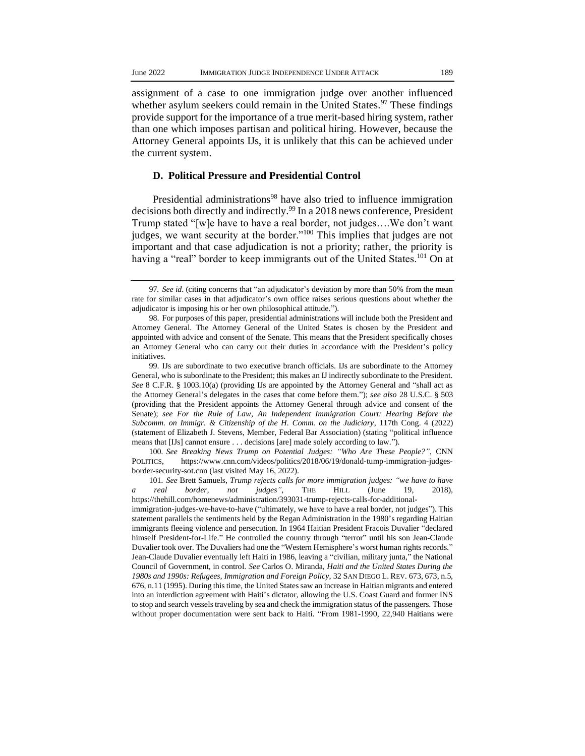assignment of a case to one immigration judge over another influenced whether asylum seekers could remain in the United States.<sup>97</sup> These findings provide support for the importance of a true merit-based hiring system, rather than one which imposes partisan and political hiring. However, because the Attorney General appoints IJs, it is unlikely that this can be achieved under the current system.

#### **D. Political Pressure and Presidential Control**

Presidential administrations<sup>98</sup> have also tried to influence immigration decisions both directly and indirectly.<sup>99</sup> In a 2018 news conference, President Trump stated "[w]e have to have a real border, not judges….We don't want judges, we want security at the border."<sup>100</sup> This implies that judges are not important and that case adjudication is not a priority; rather, the priority is having a "real" border to keep immigrants out of the United States.<sup>101</sup> On at

100*. See Breaking News Trump on Potential Judges: "Who Are These People?"*, CNN POLITICS, https://www.cnn.com/videos/politics/2018/06/19/donald-tump-immigration-judgesborder-security-sot.cnn (last visited May 16, 2022).

101*. See* Brett Samuels, *Trump rejects calls for more immigration judges: "we have to have a real border, not judges"*, THE HILL (June 19, 2018), https://thehill.com/homenews/administration/393031-trump-rejects-calls-for-additional-

immigration-judges-we-have-to-have ("ultimately, we have to have a real border, not judges"). This statement parallels the sentiments held by the Regan Administration in the 1980's regarding Haitian immigrants fleeing violence and persecution. In 1964 Haitian President Fracois Duvalier "declared himself President-for-Life." He controlled the country through "terror" until his son Jean-Claude Duvalier took over. The Duvaliers had one the "Western Hemisphere's worst human rights records." Jean-Claude Duvalier eventually left Haiti in 1986, leaving a "civilian, military junta," the National Council of Government, in control. *See* Carlos O. Miranda, *Haiti and the United States During the 1980s and 1990s: Refugees, Immigration and Foreign Policy*, 32 SAN DIEGO L. REV. 673, 673, n.5, 676, n.11 (1995). During this time, the United States saw an increase in Haitian migrants and entered into an interdiction agreement with Haiti's dictator, allowing the U.S. Coast Guard and former INS to stop and search vessels traveling by sea and check the immigration status of the passengers. Those without proper documentation were sent back to Haiti. "From 1981-1990, 22,940 Haitians were

<sup>97</sup>*. See id*. (citing concerns that "an adjudicator's deviation by more than 50% from the mean rate for similar cases in that adjudicator's own office raises serious questions about whether the adjudicator is imposing his or her own philosophical attitude.").

<sup>98.</sup> For purposes of this paper, presidential administrations will include both the President and Attorney General. The Attorney General of the United States is chosen by the President and appointed with advice and consent of the Senate. This means that the President specifically choses an Attorney General who can carry out their duties in accordance with the President's policy initiatives.

<sup>99.</sup> IJs are subordinate to two executive branch officials. IJs are subordinate to the Attorney General, who is subordinate to the President; this makes an IJ indirectly subordinate to the President. *See* 8 C.F.R. § 1003.10(a) (providing IJs are appointed by the Attorney General and "shall act as the Attorney General's delegates in the cases that come before them."); *see also* 28 U.S.C. § 503 (providing that the President appoints the Attorney General through advice and consent of the Senate); *see For the Rule of Law, An Independent Immigration Court: Hearing Before the Subcomm. on Immigr. & Citizenship of the H. Comm. on the Judiciary*, 117th Cong. 4 (2022) (statement of Elizabeth J. Stevens, Member, Federal Bar Association) (stating "political influence means that [IJs] cannot ensure . . . decisions [are] made solely according to law.").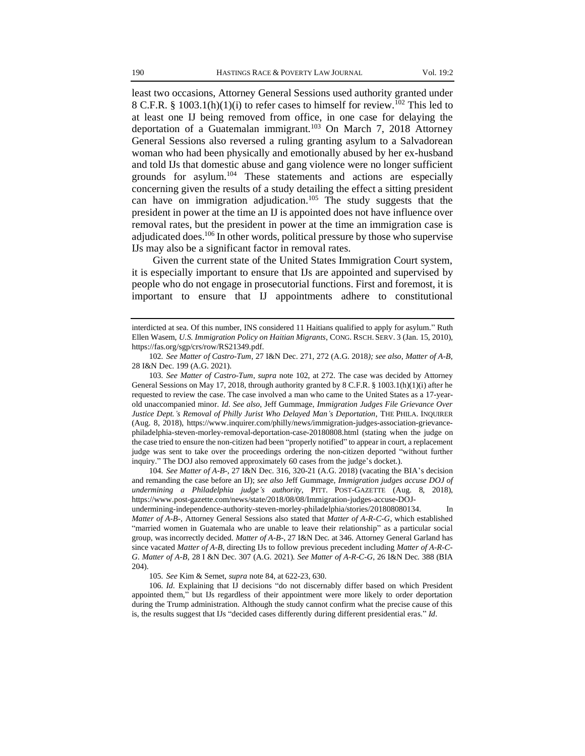least two occasions, Attorney General Sessions used authority granted under 8 C.F.R. § 1003.1(h)(1)(i) to refer cases to himself for review.<sup>102</sup> This led to at least one IJ being removed from office, in one case for delaying the deportation of a Guatemalan immigrant.<sup>103</sup> On March 7, 2018 Attorney General Sessions also reversed a ruling granting asylum to a Salvadorean woman who had been physically and emotionally abused by her ex-husband and told IJs that domestic abuse and gang violence were no longer sufficient grounds for asylum.<sup>104</sup> These statements and actions are especially concerning given the results of a study detailing the effect a sitting president can have on immigration adjudication.<sup>105</sup> The study suggests that the president in power at the time an IJ is appointed does not have influence over removal rates, but the president in power at the time an immigration case is adjudicated does.<sup>106</sup> In other words, political pressure by those who supervise IJs may also be a significant factor in removal rates.

Given the current state of the United States Immigration Court system, it is especially important to ensure that IJs are appointed and supervised by people who do not engage in prosecutorial functions. First and foremost, it is important to ensure that IJ appointments adhere to constitutional

103*. See Matter of Castro-Tum*, *supra* note 102, at 272. The case was decided by Attorney General Sessions on May 17, 2018, through authority granted by 8 C.F.R. § 1003.1(h)(1)(i) after he requested to review the case. The case involved a man who came to the United States as a 17-yearold unaccompanied minor. *Id*. *See also*, Jeff Gummage, *Immigration Judges File Grievance Over Justice Dept.'s Removal of Philly Jurist Who Delayed Man's Deportation*, THE PHILA. INQUIRER (Aug. 8, 2018), https://www.inquirer.com/philly/news/immigration-judges-association-grievancephiladelphia-steven-morley-removal-deportation-case-20180808.html (stating when the judge on the case tried to ensure the non-citizen had been "properly notified" to appear in court, a replacement judge was sent to take over the proceedings ordering the non-citizen deported "without further inquiry." The DOJ also removed approximately 60 cases from the judge's docket.).

104*. See Matter of A-B-*, 27 I&N Dec. 316, 320-21 (A.G. 2018) (vacating the BIA's decision and remanding the case before an IJ); *see also* Jeff Gummage, *Immigration judges accuse DOJ of undermining a Philadelphia judge's authority*, PITT. POST-GAZETTE (Aug. 8, 2018), https://www.post-gazette.com/news/state/2018/08/08/Immigration-judges-accuse-DOJundermining-independence-authority-steven-morley-philadelphia/stories/201808080134. In

*Matter of A-B*-, Attorney General Sessions also stated that *Matter of A-R-C-G*, which established "married women in Guatemala who are unable to leave their relationship" as a particular social group, was incorrectly decided. *Matter of A-B-*, 27 I&N Dec. at 346. Attorney General Garland has since vacated *Matter of A-B*, directing IJs to follow previous precedent including *Matter of A-R-C-G. Matter of A-B,* 28 I &N Dec. 307 (A.G. 2021). *See Matter of A-R-C-G*, 26 I&N Dec. 388 (BIA 204).

105*. See* Kim & Semet, *supra* note 84, at 622-23, 630.

106*. Id*. Explaining that IJ decisions "do not discernably differ based on which President appointed them," but IJs regardless of their appointment were more likely to order deportation during the Trump administration. Although the study cannot confirm what the precise cause of this is, the results suggest that IJs "decided cases differently during different presidential eras." *Id*.

interdicted at sea. Of this number, INS considered 11 Haitians qualified to apply for asylum." Ruth Ellen Wasem, *U.S. Immigration Policy on Haitian Migrants*, CONG. RSCH. SERV. 3 (Jan. 15, 2010), https://fas.org/sgp/crs/row/RS21349.pdf.

<sup>102</sup>*. See Matter of Castro-Tum*, 27 I&N Dec. 271, 272 (A.G. 2018*); see also*, *Matter of A-B*, 28 I&N Dec. 199 (A.G. 2021).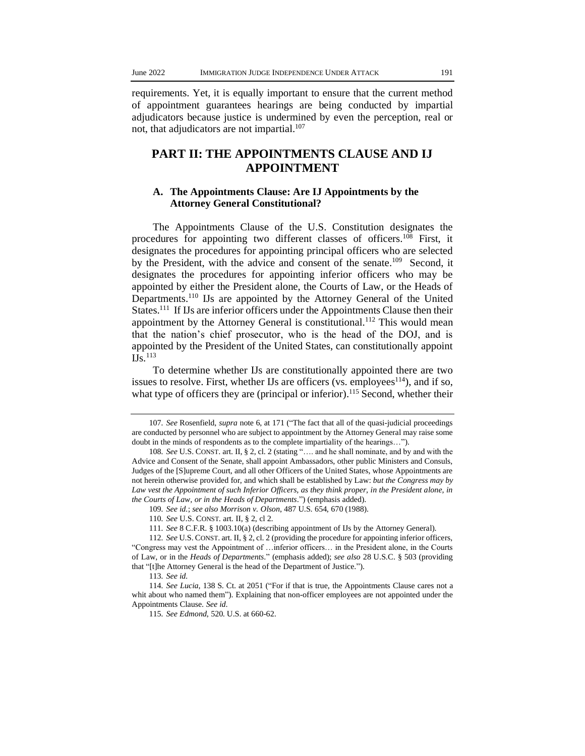requirements. Yet, it is equally important to ensure that the current method of appointment guarantees hearings are being conducted by impartial adjudicators because justice is undermined by even the perception, real or not, that adjudicators are not impartial. $107$ 

# **PART II: THE APPOINTMENTS CLAUSE AND IJ APPOINTMENT**

### **A. The Appointments Clause: Are IJ Appointments by the Attorney General Constitutional?**

The Appointments Clause of the U.S. Constitution designates the procedures for appointing two different classes of officers.<sup>108</sup> First, it designates the procedures for appointing principal officers who are selected by the President, with the advice and consent of the senate.<sup>109</sup> Second, it designates the procedures for appointing inferior officers who may be appointed by either the President alone, the Courts of Law, or the Heads of Departments.<sup>110</sup> IJs are appointed by the Attorney General of the United States.<sup>111</sup> If IJs are inferior officers under the Appointments Clause then their appointment by the Attorney General is constitutional.<sup>112</sup> This would mean that the nation's chief prosecutor, who is the head of the DOJ, and is appointed by the President of the United States, can constitutionally appoint  $\overline{\text{IJS}}$ .<sup>113</sup>

To determine whether IJs are constitutionally appointed there are two issues to resolve. First, whether IJs are officers (vs.  $\epsilon$ mployees<sup>114</sup>), and if so, what type of officers they are (principal or inferior).<sup>115</sup> Second, whether their

<sup>107</sup>*. See* Rosenfield, *supra* note 6, at 171 ("The fact that all of the quasi-judicial proceedings are conducted by personnel who are subject to appointment by the Attorney General may raise some doubt in the minds of respondents as to the complete impartiality of the hearings…").

<sup>108</sup>*. See* U.S. CONST. art. II, § 2, cl. 2 (stating "…. and he shall nominate, and by and with the Advice and Consent of the Senate, shall appoint Ambassadors, other public Ministers and Consuls, Judges of the [S]upreme Court, and all other Officers of the United States, whose Appointments are not herein otherwise provided for, and which shall be established by Law: *but the Congress may by Law vest the Appointment of such Inferior Officers, as they think proper, in the President alone, in the Courts of Law, or in the Heads of Departments*.") (emphasis added).

<sup>109</sup>*. See id.*; *see also Morrison v. Olson*, 487 U.S. 654, 670 (1988).

<sup>110</sup>*. See* U.S. CONST. art. II, § 2, cl 2.

<sup>111</sup>*. See* 8 C.F.R. § 1003.10(a) (describing appointment of IJs by the Attorney General).

<sup>112</sup>*. See* U.S. CONST. art. II, § 2, cl. 2 (providing the procedure for appointing inferior officers, "Congress may vest the Appointment of …inferior officers… in the President alone, in the Courts of Law, or in the *Heads of Departments*." (emphasis added); *see also* 28 U.S.C. § 503 (providing that "[t]he Attorney General is the head of the Department of Justice.").

<sup>113</sup>*. See id.*

<sup>114</sup>*. See Lucia*, 138 S. Ct. at 2051 ("For if that is true, the Appointments Clause cares not a whit about who named them"). Explaining that non-officer employees are not appointed under the Appointments Clause. *See id*.

<sup>115</sup>*. See Edmond*, 520. U.S. at 660-62.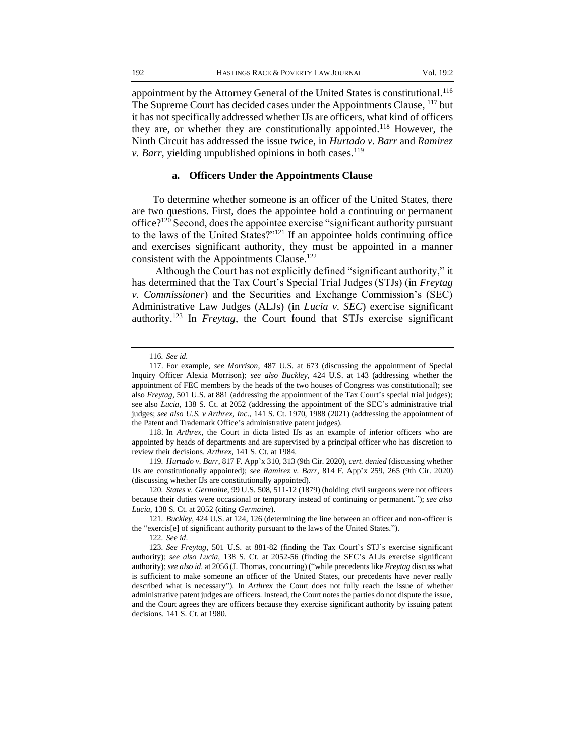appointment by the Attorney General of the United States is constitutional. 116 The Supreme Court has decided cases under the Appointments Clause, <sup>117</sup> but it has not specifically addressed whether IJs are officers, what kind of officers they are, or whether they are constitutionally appointed.<sup>118</sup> However, the Ninth Circuit has addressed the issue twice, in *Hurtado v. Barr* and *Ramirez v. Barr*, yielding unpublished opinions in both cases.<sup>119</sup>

#### **a. Officers Under the Appointments Clause**

To determine whether someone is an officer of the United States, there are two questions. First, does the appointee hold a continuing or permanent office? $120$  Second, does the appointee exercise "significant authority pursuant to the laws of the United States?"<sup>121</sup> If an appointee holds continuing office and exercises significant authority, they must be appointed in a manner consistent with the Appointments Clause.<sup>122</sup>

Although the Court has not explicitly defined "significant authority," it has determined that the Tax Court's Special Trial Judges (STJs) (in *Freytag v. Commissioner*) and the Securities and Exchange Commission's (SEC) Administrative Law Judges (ALJs) (in *Lucia v. SEC*) exercise significant authority.<sup>123</sup> In *Freytag*, the Court found that STJs exercise significant

118. In *Arthrex*, the Court in dicta listed IJs as an example of inferior officers who are appointed by heads of departments and are supervised by a principal officer who has discretion to review their decisions. *Arthrex,* 141 S. Ct. at 1984.

119*. Hurtado v. Barr*, 817 F. App'x 310, 313 (9th Cir. 2020), *cert. denied* (discussing whether IJs are constitutionally appointed); *see Ramirez v. Barr*, 814 F. App'x 259, 265 (9th Cir. 2020) (discussing whether IJs are constitutionally appointed).

120*. States v. Germaine*, 99 U.S. 508, 511-12 (1879) (holding civil surgeons were not officers because their duties were occasional or temporary instead of continuing or permanent."); *see also Lucia*, 138 S. Ct. at 2052 (citing *Germaine*).

121*. Buckley*, 424 U.S. at 124, 126 (determining the line between an officer and non-officer is the "exercis[e] of significant authority pursuant to the laws of the United States.").

122*. See id*.

<sup>116</sup>*. See id.*

<sup>117.</sup> For example, *see Morrison*, 487 U.S. at 673 (discussing the appointment of Special Inquiry Officer Alexia Morrison); *see also Buckley*, 424 U.S. at 143 (addressing whether the appointment of FEC members by the heads of the two houses of Congress was constitutional); see also *Freytag*, 501 U.S. at 881 (addressing the appointment of the Tax Court's special trial judges); see also *Lucia,* 138 S. Ct. at 2052 (addressing the appointment of the SEC's administrative trial judges; *see also U.S. v Arthrex, Inc.*, 141 S. Ct. 1970, 1988 (2021) (addressing the appointment of the Patent and Trademark Office's administrative patent judges).

<sup>123</sup>*. See Freytag*, 501 U.S. at 881-82 (finding the Tax Court's STJ's exercise significant authority); *see also Lucia*, 138 S. Ct. at 2052-56 (finding the SEC's ALJs exercise significant authority); *see also id*. at 2056 (J. Thomas, concurring) ("while precedents like *Freytag* discuss what is sufficient to make someone an officer of the United States, our precedents have never really described what is necessary"). In *Arthrex* the Court does not fully reach the issue of whether administrative patent judges are officers. Instead, the Court notes the parties do not dispute the issue, and the Court agrees they are officers because they exercise significant authority by issuing patent decisions. 141 S. Ct. at 1980.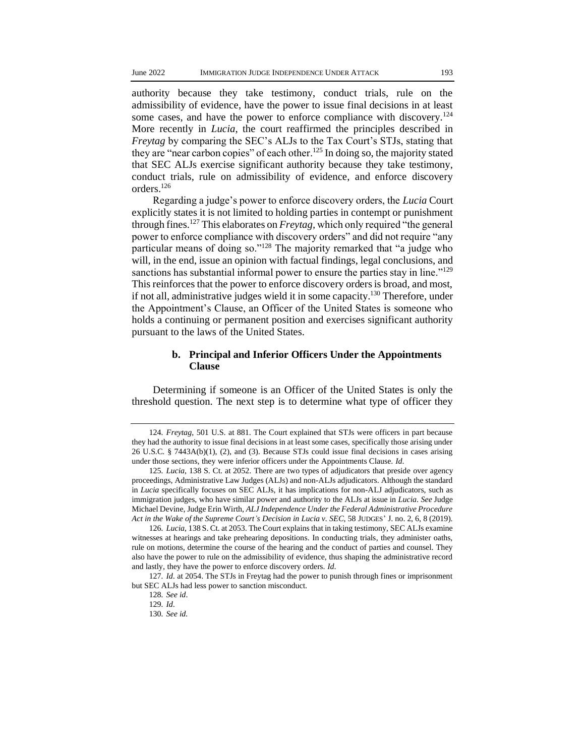authority because they take testimony, conduct trials, rule on the admissibility of evidence, have the power to issue final decisions in at least some cases, and have the power to enforce compliance with discovery.<sup>124</sup> More recently in *Lucia*, the court reaffirmed the principles described in *Freytag* by comparing the SEC's ALJs to the Tax Court's STJs, stating that they are "near carbon copies" of each other.<sup>125</sup> In doing so, the majority stated that SEC ALJs exercise significant authority because they take testimony, conduct trials, rule on admissibility of evidence, and enforce discovery orders.<sup>126</sup>

Regarding a judge's power to enforce discovery orders, the *Lucia* Court explicitly states it is not limited to holding parties in contempt or punishment through fines.<sup>127</sup> This elaborates on *Freytag,* which only required "the general power to enforce compliance with discovery orders" and did not require "any particular means of doing so."<sup>128</sup> The majority remarked that "a judge who will, in the end, issue an opinion with factual findings, legal conclusions, and sanctions has substantial informal power to ensure the parties stay in line."<sup>129</sup> This reinforces that the power to enforce discovery orders is broad, and most, if not all, administrative judges wield it in some capacity.<sup>130</sup> Therefore, under the Appointment's Clause, an Officer of the United States is someone who holds a continuing or permanent position and exercises significant authority pursuant to the laws of the United States.

#### **b. Principal and Inferior Officers Under the Appointments Clause**

Determining if someone is an Officer of the United States is only the threshold question. The next step is to determine what type of officer they

<sup>124</sup>*. Freytag*, 501 U.S. at 881. The Court explained that STJs were officers in part because they had the authority to issue final decisions in at least some cases, specifically those arising under 26 U.S.C. § 7443A(b)(1), (2), and (3). Because STJs could issue final decisions in cases arising under those sections, they were inferior officers under the Appointments Clause. *Id*.

<sup>125</sup>*. Lucia*, 138 S. Ct. at 2052. There are two types of adjudicators that preside over agency proceedings, Administrative Law Judges (ALJs) and non-ALJs adjudicators. Although the standard in *Lucia* specifically focuses on SEC ALJs, it has implications for non-ALJ adjudicators, such as immigration judges, who have similar power and authority to the ALJs at issue in *Lucia*. *See* Judge Michael Devine, Judge Erin Wirth, *ALJ Independence Under the Federal Administrative Procedure Act in the Wake of the Supreme Court's Decision in Lucia v. SEC*, 58 JUDGES' J. no. 2, 6, 8 (2019).

<sup>126</sup>*. Lucia*, 138 S. Ct. at 2053. The Court explains that in taking testimony, SEC ALJs examine witnesses at hearings and take prehearing depositions. In conducting trials, they administer oaths, rule on motions, determine the course of the hearing and the conduct of parties and counsel. They also have the power to rule on the admissibility of evidence, thus shaping the administrative record and lastly, they have the power to enforce discovery orders. *Id*.

<sup>127</sup>*. Id*. at 2054. The STJs in Freytag had the power to punish through fines or imprisonment but SEC ALJs had less power to sanction misconduct.

<sup>128</sup>*. See id*.

<sup>129</sup>*. Id*.

<sup>130</sup>*. See id.*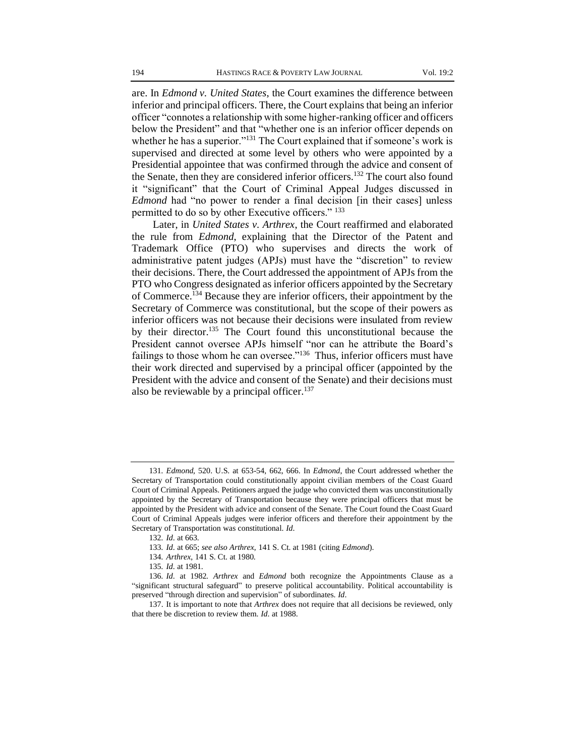are. In *Edmond v. United States*, the Court examines the difference between inferior and principal officers. There, the Court explains that being an inferior officer "connotes a relationship with some higher-ranking officer and officers below the President" and that "whether one is an inferior officer depends on whether he has a superior."<sup>131</sup> The Court explained that if someone's work is supervised and directed at some level by others who were appointed by a Presidential appointee that was confirmed through the advice and consent of the Senate, then they are considered inferior officers.<sup>132</sup> The court also found it "significant" that the Court of Criminal Appeal Judges discussed in *Edmond* had "no power to render a final decision [in their cases] unless permitted to do so by other Executive officers." <sup>133</sup>

Later, in *United States v. Arthrex*, the Court reaffirmed and elaborated the rule from *Edmond*, explaining that the Director of the Patent and Trademark Office (PTO) who supervises and directs the work of administrative patent judges (APJs) must have the "discretion" to review their decisions. There, the Court addressed the appointment of APJs from the PTO who Congress designated as inferior officers appointed by the Secretary of Commerce.<sup>134</sup> Because they are inferior officers, their appointment by the Secretary of Commerce was constitutional, but the scope of their powers as inferior officers was not because their decisions were insulated from review by their director.<sup>135</sup> The Court found this unconstitutional because the President cannot oversee APJs himself "nor can he attribute the Board's failings to those whom he can oversee." $136$  Thus, inferior officers must have their work directed and supervised by a principal officer (appointed by the President with the advice and consent of the Senate) and their decisions must also be reviewable by a principal officer.<sup>137</sup>

<sup>131</sup>*. Edmond*, 520. U.S. at 653-54, 662, 666. In *Edmond*, the Court addressed whether the Secretary of Transportation could constitutionally appoint civilian members of the Coast Guard Court of Criminal Appeals. Petitioners argued the judge who convicted them was unconstitutionally appointed by the Secretary of Transportation because they were principal officers that must be appointed by the President with advice and consent of the Senate. The Court found the Coast Guard Court of Criminal Appeals judges were inferior officers and therefore their appointment by the Secretary of Transportation was constitutional. *Id*.

<sup>132</sup>*. Id*. at 663.

<sup>133</sup>*. Id*. at 665; *see also Arthrex*, 141 S. Ct. at 1981 (citing *Edmond*).

<sup>134</sup>*. Arthrex*, 141 S. Ct. at 1980.

<sup>135</sup>*. Id*. at 1981.

<sup>136</sup>*. Id*. at 1982. *Arthrex* and *Edmond* both recognize the Appointments Clause as a "significant structural safeguard" to preserve political accountability. Political accountability is preserved "through direction and supervision" of subordinates. *Id*.

<sup>137.</sup> It is important to note that *Arthrex* does not require that all decisions be reviewed, only that there be discretion to review them. *Id*. at 1988.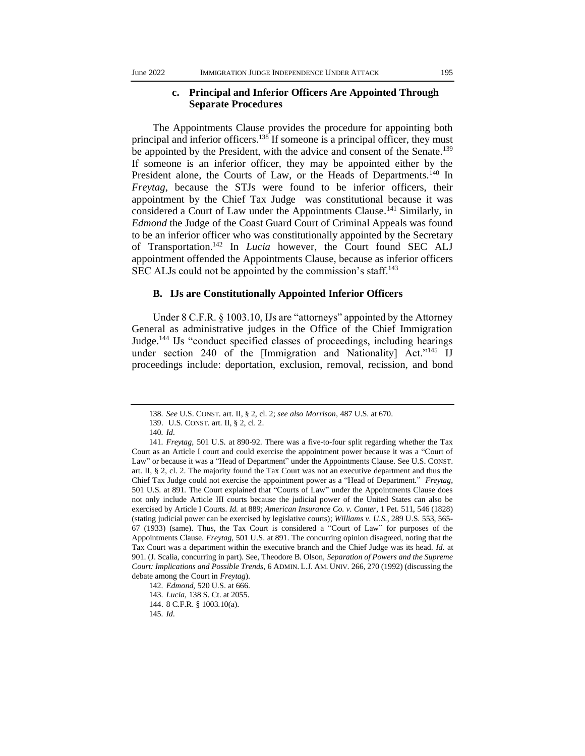#### **c. Principal and Inferior Officers Are Appointed Through Separate Procedures**

The Appointments Clause provides the procedure for appointing both principal and inferior officers.<sup>138</sup> If someone is a principal officer, they must be appointed by the President, with the advice and consent of the Senate.<sup>139</sup> If someone is an inferior officer, they may be appointed either by the President alone, the Courts of Law, or the Heads of Departments.<sup>140</sup> In *Freytag*, because the STJs were found to be inferior officers, their appointment by the Chief Tax Judge was constitutional because it was considered a Court of Law under the Appointments Clause.<sup>141</sup> Similarly, in *Edmond* the Judge of the Coast Guard Court of Criminal Appeals was found to be an inferior officer who was constitutionally appointed by the Secretary of Transportation.<sup>142</sup> In *Lucia* however, the Court found SEC ALJ appointment offended the Appointments Clause, because as inferior officers SEC ALJs could not be appointed by the commission's staff.<sup>143</sup>

## **B. IJs are Constitutionally Appointed Inferior Officers**

Under 8 C.F.R. § 1003.10, IJs are "attorneys" appointed by the Attorney General as administrative judges in the Office of the Chief Immigration Judge.<sup>144</sup> IJs "conduct specified classes of proceedings, including hearings under section 240 of the *Immigration* and Nationalityl Act."<sup>145</sup> IJ proceedings include: deportation, exclusion, removal, recission, and bond

<sup>138</sup>*. See* U.S. CONST. art. II, § 2, cl. 2; *see also Morrison*, 487 U.S. at 670.

<sup>139.</sup> U.S. CONST. art. II, § 2, cl. 2.

<sup>140</sup>*. Id*.

<sup>141</sup>*. Freytag*, 501 U.S. at 890-92. There was a five-to-four split regarding whether the Tax Court as an Article I court and could exercise the appointment power because it was a "Court of Law" or because it was a "Head of Department" under the Appointments Clause. See U.S. CONST. art. II, § 2, cl. 2. The majority found the Tax Court was not an executive department and thus the Chief Tax Judge could not exercise the appointment power as a "Head of Department." *Freytag*, 501 U.S. at 891. The Court explained that "Courts of Law" under the Appointments Clause does not only include Article III courts because the judicial power of the United States can also be exercised by Article I Courts. *Id.* at 889; *American Insurance Co. v. Canter*, 1 Pet. 511, 546 (1828) (stating judicial power can be exercised by legislative courts); *Williams v. U.S.*, 289 U.S. 553, 565- 67 (1933) (same). Thus, the Tax Court is considered a "Court of Law" for purposes of the Appointments Clause. *Freytag*, 501 U.S. at 891. The concurring opinion disagreed, noting that the Tax Court was a department within the executive branch and the Chief Judge was its head. *Id*. at 901. (J. Scalia, concurring in part). See, Theodore B. Olson, *Separation of Powers and the Supreme Court: Implications and Possible Trends*, 6 ADMIN. L.J. AM. UNIV. 266, 270 (1992) (discussing the debate among the Court in *Freytag*).

<sup>142</sup>*. Edmond*, 520 U.S. at 666.

<sup>143</sup>*. Lucia*, 138 S. Ct. at 2055.

<sup>144.</sup> 8 C.F.R. § 1003.10(a).

<sup>145</sup>*. Id*.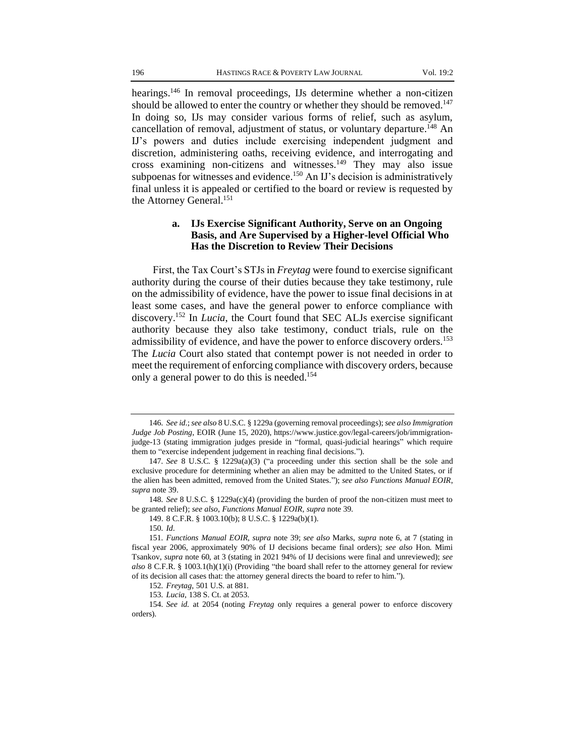hearings.<sup>146</sup> In removal proceedings, IJs determine whether a non-citizen should be allowed to enter the country or whether they should be removed.<sup>147</sup> In doing so, IJs may consider various forms of relief, such as asylum, cancellation of removal, adjustment of status, or voluntary departure.<sup>148</sup> An IJ's powers and duties include exercising independent judgment and discretion, administering oaths, receiving evidence, and interrogating and cross examining non-citizens and witnesses. $^{149}$  They may also issue subpoenas for witnesses and evidence.<sup>150</sup> An IJ's decision is administratively final unless it is appealed or certified to the board or review is requested by the Attorney General.<sup>151</sup>

#### **a. IJs Exercise Significant Authority, Serve on an Ongoing Basis, and Are Supervised by a Higher-level Official Who Has the Discretion to Review Their Decisions**

First, the Tax Court's STJs in *Freytag* were found to exercise significant authority during the course of their duties because they take testimony, rule on the admissibility of evidence, have the power to issue final decisions in at least some cases, and have the general power to enforce compliance with discovery.<sup>152</sup> In *Lucia*, the Court found that SEC ALJs exercise significant authority because they also take testimony, conduct trials, rule on the admissibility of evidence, and have the power to enforce discovery orders.<sup>153</sup> The *Lucia* Court also stated that contempt power is not needed in order to meet the requirement of enforcing compliance with discovery orders, because only a general power to do this is needed.<sup>154</sup>

148*. See* 8 U.S.C. § 1229a(c)(4) (providing the burden of proof the non-citizen must meet to be granted relief); *see also*, *Functions Manual EOIR*, *supra* note 39.

<sup>146</sup>*. See id*.; *see also* 8 U.S.C. § 1229a (governing removal proceedings); *see also Immigration Judge Job Posting*, EOIR (June 15, 2020), https://www.justice.gov/legal-careers/job/immigrationjudge-13 (stating immigration judges preside in "formal, quasi-judicial hearings" which require them to "exercise independent judgement in reaching final decisions.").

<sup>147</sup>*. See* 8 U.S.C. § 1229a(a)(3) ("a proceeding under this section shall be the sole and exclusive procedure for determining whether an alien may be admitted to the United States, or if the alien has been admitted, removed from the United States."); *see also Functions Manual EOIR*, *supra* note 39.

<sup>149.</sup> 8 C.F.R. § 1003.10(b); 8 U.S.C. § 1229a(b)(1).

<sup>150</sup>*. Id*.

<sup>151</sup>*. Functions Manual EOIR*, *supra* note 39; *see also* Marks, *supra* note 6, at 7 (stating in fiscal year 2006, approximately 90% of IJ decisions became final orders); *see also* Hon. Mimi Tsankov, *supra* note 60, at 3 (stating in 2021 94% of IJ decisions were final and unreviewed); *see also* 8 C.F.R. § 1003.1(h)(1)(i) (Providing "the board shall refer to the attorney general for review of its decision all cases that: the attorney general directs the board to refer to him.").

<sup>152</sup>*. Freytag*, 501 U.S. at 881.

<sup>153</sup>*. Lucia*, 138 S. Ct. at 2053.

<sup>154</sup>*. See id.* at 2054 (noting *Freytag* only requires a general power to enforce discovery orders).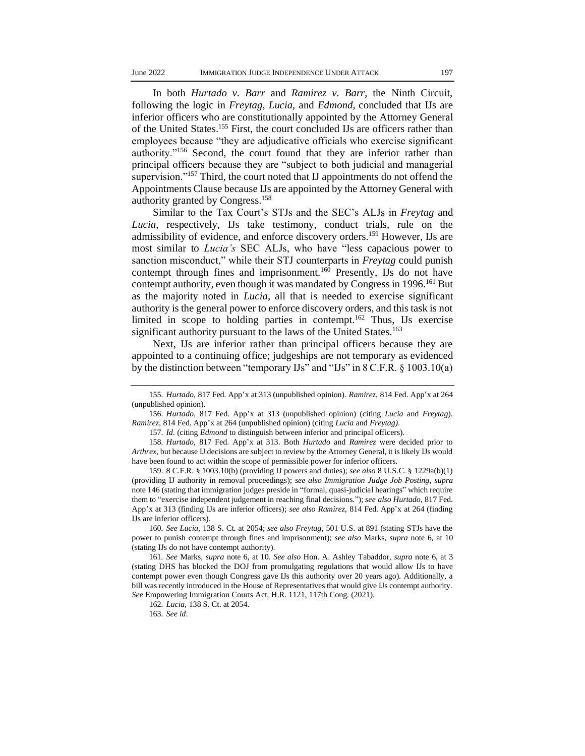In both *Hurtado v. Barr* and *Ramirez v. Barr*, the Ninth Circuit, following the logic in *Freytag*, *Lucia,* and *Edmond*, concluded that IJs are inferior officers who are constitutionally appointed by the Attorney General of the United States.<sup>155</sup> First, the court concluded IJs are officers rather than employees because "they are adjudicative officials who exercise significant authority."<sup>156</sup> Second, the court found that they are inferior rather than principal officers because they are "subject to both judicial and managerial supervision."<sup>157</sup> Third, the court noted that IJ appointments do not offend the Appointments Clause because IJs are appointed by the Attorney General with authority granted by Congress.<sup>158</sup>

Similar to the Tax Court's STJs and the SEC's ALJs in *Freytag* and *Lucia*, respectively, IJs take testimony, conduct trials, rule on the admissibility of evidence, and enforce discovery orders.<sup>159</sup> However, IJs are most similar to *Lucia's* SEC ALJs, who have "less capacious power to sanction misconduct," while their STJ counterparts in *Freytag* could punish contempt through fines and imprisonment.<sup>160</sup> Presently,  $\overrightarrow{Us}$  do not have contempt authority, even though it was mandated by Congress in 1996.<sup>161</sup> But as the majority noted in *Lucia*, all that is needed to exercise significant authority is the general power to enforce discovery orders, and this task is not limited in scope to holding parties in contempt.<sup>162</sup> Thus, IJs exercise significant authority pursuant to the laws of the United States.<sup>163</sup>

Next, IJs are inferior rather than principal officers because they are appointed to a continuing office; judgeships are not temporary as evidenced by the distinction between "temporary IJs" and "IJs" in 8 C.F.R. § 1003.10(a)

<sup>155</sup>*. Hurtado*, 817 Fed. App'x at 313 (unpublished opinion). *Ramirez*, 814 Fed. App'x at 264 (unpublished opinion).

<sup>156</sup>*. Hurtado*, 817 Fed. App'x at 313 (unpublished opinion) (citing *Lucia* and *Freytag*). *Ramirez*, 814 Fed. App'x at 264 (unpublished opinion) (citing *Lucia* and *Freytag)*.

<sup>157</sup>*. Id*. (citing *Edmond* to distinguish between inferior and principal officers).

<sup>158</sup>*. Hurtado*, 817 Fed. App'x at 313. Both *Hurtado* and *Ramirez* were decided prior to *Arthrex*, but because IJ decisions are subject to review by the Attorney General, it is likely IJs would have been found to act within the scope of permissible power for inferior officers.

<sup>159.</sup> 8 C.F.R. § 1003.10(b) (providing IJ powers and duties); *see also* 8 U.S.C. § 1229a(b)(1) (providing IJ authority in removal proceedings); *see also Immigration Judge Job Posting*, *supra* note 146 (stating that immigration judges preside in "formal, quasi-judicial hearings" which require them to "exercise independent judgement in reaching final decisions."); *see also Hurtado*, 817 Fed. App'x at 313 (finding IJs are inferior officers); *see also Ramirez*, 814 Fed. App'x at 264 (finding IJs are inferior officers).

<sup>160</sup>*. See Lucia*, 138 S. Ct. at 2054; *see also Freytag*, 501 U.S. at 891 (stating STJs have the power to punish contempt through fines and imprisonment); *see also* Marks, *supra* note 6, at 10 (stating IJs do not have contempt authority).

<sup>161</sup>*. See* Marks, *supra* note 6, at 10. *See also* Hon. A. Ashley Tabaddor, *supra* note 6, at 3 (stating DHS has blocked the DOJ from promulgating regulations that would allow IJs to have contempt power even though Congress gave IJs this authority over 20 years ago). Additionally, a bill was recently introduced in the House of Representatives that would give IJs contempt authority. *See* Empowering Immigration Courts Act, H.R. 1121, 117th Cong. (2021).

<sup>162</sup>*. Lucia*, 138 S. Ct. at 2054.

<sup>163</sup>*. See id*.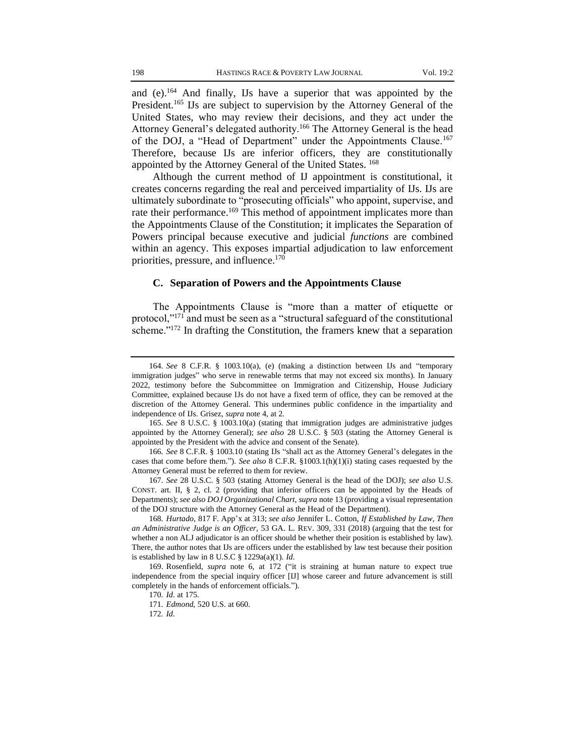and (e).<sup>164</sup> And finally, IJs have a superior that was appointed by the President.<sup>165</sup> IJs are subject to supervision by the Attorney General of the United States, who may review their decisions, and they act under the Attorney General's delegated authority.<sup>166</sup> The Attorney General is the head of the DOJ, a "Head of Department" under the Appointments Clause.<sup>167</sup> Therefore, because IJs are inferior officers, they are constitutionally appointed by the Attorney General of the United States. <sup>168</sup>

Although the current method of IJ appointment is constitutional, it creates concerns regarding the real and perceived impartiality of IJs. IJs are ultimately subordinate to "prosecuting officials" who appoint, supervise, and rate their performance.<sup>169</sup> This method of appointment implicates more than the Appointments Clause of the Constitution; it implicates the Separation of Powers principal because executive and judicial *functions* are combined within an agency. This exposes impartial adjudication to law enforcement priorities, pressure, and influence.<sup>170</sup>

### **C. Separation of Powers and the Appointments Clause**

The Appointments Clause is "more than a matter of etiquette or protocol,"<sup>171</sup> and must be seen as a "structural safeguard of the constitutional scheme."<sup>172</sup> In drafting the Constitution, the framers knew that a separation

165*. See* 8 U.S.C. § 1003.10(a) (stating that immigration judges are administrative judges appointed by the Attorney General); *see also* 28 U.S.C. § 503 (stating the Attorney General is appointed by the President with the advice and consent of the Senate).

<sup>164</sup>*. See* 8 C.F.R. § 1003.10(a), (e) (making a distinction between IJs and "temporary immigration judges" who serve in renewable terms that may not exceed six months). In January 2022, testimony before the Subcommittee on Immigration and Citizenship, House Judiciary Committee, explained because IJs do not have a fixed term of office, they can be removed at the discretion of the Attorney General. This undermines public confidence in the impartiality and independence of IJs. Grisez, *supra* note 4, at 2.

<sup>166</sup>*. See* 8 C.F.R. § 1003.10 (stating IJs "shall act as the Attorney General's delegates in the cases that come before them."). *See also* 8 C.F.R. §1003.1(h)(1)(i) stating cases requested by the Attorney General must be referred to them for review.

<sup>167</sup>*. See* 28 U.S.C. § 503 (stating Attorney General is the head of the DOJ); *see also* U.S. CONST. art. II, § 2, cl. 2 (providing that inferior officers can be appointed by the Heads of Departments); *see also DOJ Organizational Chart*, *supra* note 13 (providing a visual representation of the DOJ structure with the Attorney General as the Head of the Department).

<sup>168</sup>*. Hurtado*, 817 F. App'x at 313; *see also* Jennifer L. Cotton, *If Established by Law, Then an Administrative Judge is an Officer*, 53 GA. L. REV. 309, 331 (2018) (arguing that the test for whether a non ALJ adjudicator is an officer should be whether their position is established by law). There, the author notes that IJs are officers under the established by law test because their position is established by law in 8 U.S.C § 1229a(a)(1). *Id*.

<sup>169.</sup> Rosenfield, *supra* note 6, at 172 ("it is straining at human nature to expect true independence from the special inquiry officer [IJ] whose career and future advancement is still completely in the hands of enforcement officials.").

<sup>170</sup>*. Id*. at 175.

<sup>171</sup>*. Edmond*, 520 U.S. at 660.

<sup>172</sup>*. Id*.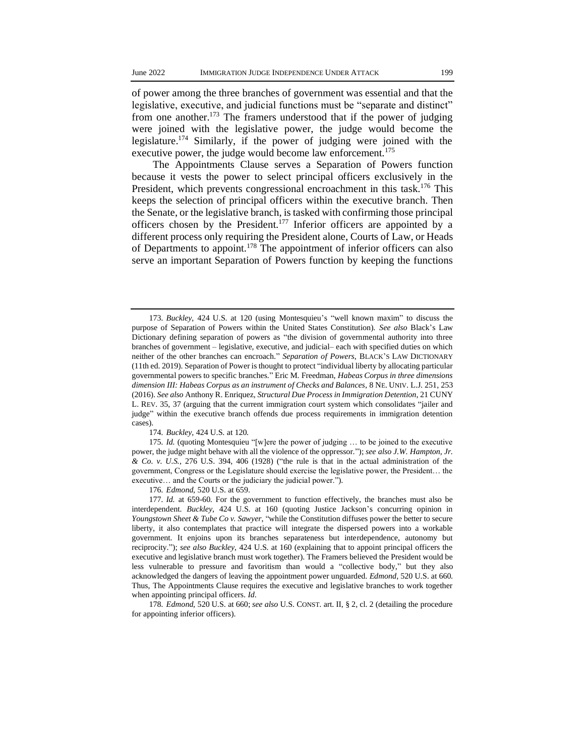of power among the three branches of government was essential and that the legislative, executive, and judicial functions must be "separate and distinct" from one another.<sup>173</sup> The framers understood that if the power of judging were joined with the legislative power, the judge would become the legislature.<sup>174</sup> Similarly, if the power of judging were joined with the executive power, the judge would become law enforcement.<sup>175</sup>

The Appointments Clause serves a Separation of Powers function because it vests the power to select principal officers exclusively in the President, which prevents congressional encroachment in this task.<sup>176</sup> This keeps the selection of principal officers within the executive branch. Then the Senate, or the legislative branch, is tasked with confirming those principal officers chosen by the President.<sup>177</sup> Inferior officers are appointed by a different process only requiring the President alone, Courts of Law, or Heads of Departments to appoint.<sup>178</sup> The appointment of inferior officers can also serve an important Separation of Powers function by keeping the functions

174*. Buckley*, 424 U.S. at 120.

175*. Id.* (quoting Montesquieu "[w]ere the power of judging … to be joined to the executive power, the judge might behave with all the violence of the oppressor."); *see also J.W. Hampton, Jr. & Co. v. U.S.*, 276 U.S. 394, 406 (1928) ("the rule is that in the actual administration of the government, Congress or the Legislature should exercise the legislative power, the President… the executive… and the Courts or the judiciary the judicial power.").

176*. Edmond*, 520 U.S. at 659.

<sup>173</sup>*. Buckley*, 424 U.S. at 120 (using Montesquieu's "well known maxim" to discuss the purpose of Separation of Powers within the United States Constitution). *See also* Black's Law Dictionary defining separation of powers as "the division of governmental authority into three branches of government – legislative, executive, and judicial– each with specified duties on which neither of the other branches can encroach." *Separation of Powers*, BLACK'S LAW DICTIONARY (11th ed. 2019). Separation of Power is thought to protect "individual liberty by allocating particular governmental powers to specific branches." Eric M. Freedman, *Habeas Corpus in three dimensions dimension III: Habeas Corpus as an instrument of Checks and Balances*, 8 NE. UNIV. L.J. 251, 253 (2016). *See also* Anthony R. Enriquez, *Structural Due Process in Immigration Detention*, 21 CUNY L. REV. 35, 37 (arguing that the current immigration court system which consolidates "jailer and judge" within the executive branch offends due process requirements in immigration detention cases).

<sup>177</sup>*. Id.* at 659-60. For the government to function effectively, the branches must also be interdependent. *Buckley*, 424 U.S. at 160 (quoting Justice Jackson's concurring opinion in *Youngstown Sheet & Tube Co v. Sawyer*, "while the Constitution diffuses power the better to secure liberty, it also contemplates that practice will integrate the dispersed powers into a workable government. It enjoins upon its branches separateness but interdependence, autonomy but reciprocity."); *see also Buckley*, 424 U.S. at 160 (explaining that to appoint principal officers the executive and legislative branch must work together). The Framers believed the President would be less vulnerable to pressure and favoritism than would a "collective body," but they also acknowledged the dangers of leaving the appointment power unguarded. *Edmond*, 520 U.S. at 660. Thus, The Appointments Clause requires the executive and legislative branches to work together when appointing principal officers. *Id*.

<sup>178</sup>*. Edmond*, 520 U.S. at 660; *see also* U.S. CONST. art. II, § 2, cl. 2 (detailing the procedure for appointing inferior officers).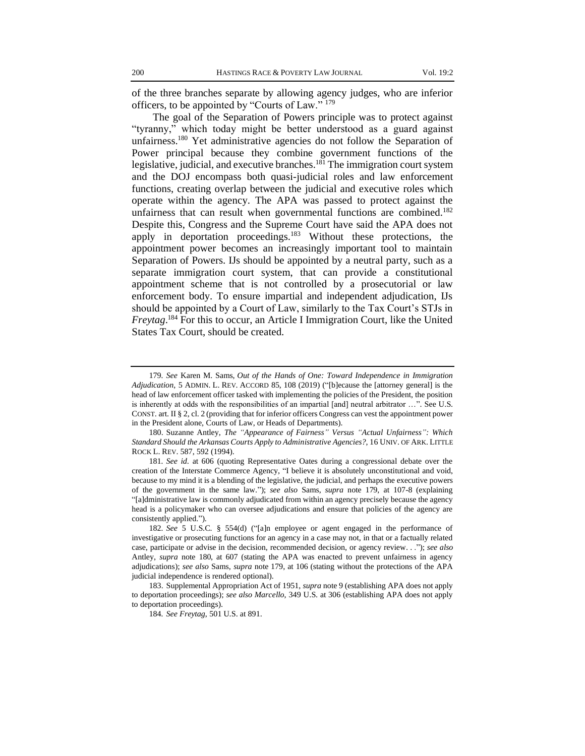of the three branches separate by allowing agency judges, who are inferior officers, to be appointed by "Courts of Law." <sup>179</sup>

The goal of the Separation of Powers principle was to protect against "tyranny," which today might be better understood as a guard against unfairness.<sup>180</sup> Yet administrative agencies do not follow the Separation of Power principal because they combine government functions of the legislative, judicial, and executive branches. $1^{81}$  The immigration court system and the DOJ encompass both quasi-judicial roles and law enforcement functions, creating overlap between the judicial and executive roles which operate within the agency. The APA was passed to protect against the unfairness that can result when governmental functions are combined.<sup>182</sup> Despite this, Congress and the Supreme Court have said the APA does not apply in deportation proceedings.<sup>183</sup> Without these protections, the appointment power becomes an increasingly important tool to maintain Separation of Powers. IJs should be appointed by a neutral party, such as a separate immigration court system, that can provide a constitutional appointment scheme that is not controlled by a prosecutorial or law enforcement body. To ensure impartial and independent adjudication, IJs should be appointed by a Court of Law, similarly to the Tax Court's STJs in *Freytag*. <sup>184</sup> For this to occur, an Article I Immigration Court, like the United States Tax Court, should be created.

<sup>179</sup>*. See* Karen M. Sams, *Out of the Hands of One: Toward Independence in Immigration Adjudication*, 5 ADMIN. L. REV. ACCORD 85, 108 (2019) ("[b]ecause the [attorney general] is the head of law enforcement officer tasked with implementing the policies of the President, the position is inherently at odds with the responsibilities of an impartial [and] neutral arbitrator ...". See U.S. CONST. art. II § 2, cl. 2 (providing that for inferior officers Congress can vest the appointment power in the President alone, Courts of Law, or Heads of Departments).

<sup>180.</sup> Suzanne Antley, *The "Appearance of Fairness" Versus "Actual Unfairness": Which Standard Should the Arkansas Courts Apply to Administrative Agencies?*, 16 UNIV. OF ARK. LITTLE ROCK L. REV. 587, 592 (1994).

<sup>181</sup>*. See id*. at 606 (quoting Representative Oates during a congressional debate over the creation of the Interstate Commerce Agency, "I believe it is absolutely unconstitutional and void, because to my mind it is a blending of the legislative, the judicial, and perhaps the executive powers of the government in the same law."); *see also* Sams, *supra* note 179, at 107-8 (explaining "[a]dministrative law is commonly adjudicated from within an agency precisely because the agency head is a policymaker who can oversee adjudications and ensure that policies of the agency are consistently applied.").

<sup>182</sup>*. See* 5 U.S.C. § 554(d) ("[a]n employee or agent engaged in the performance of investigative or prosecuting functions for an agency in a case may not, in that or a factually related case, participate or advise in the decision, recommended decision, or agency review. . ."); *see also*  Antley, *supra* note 180, at 607 (stating the APA was enacted to prevent unfairness in agency adjudications); *see also* Sams, *supra* note 179, at 106 (stating without the protections of the APA judicial independence is rendered optional).

<sup>183.</sup> Supplemental Appropriation Act of 1951, *supra* note 9 (establishing APA does not apply to deportation proceedings); *see also Marcello*, 349 U.S. at 306 (establishing APA does not apply to deportation proceedings).

<sup>184</sup>*. See Freytag*, 501 U.S. at 891.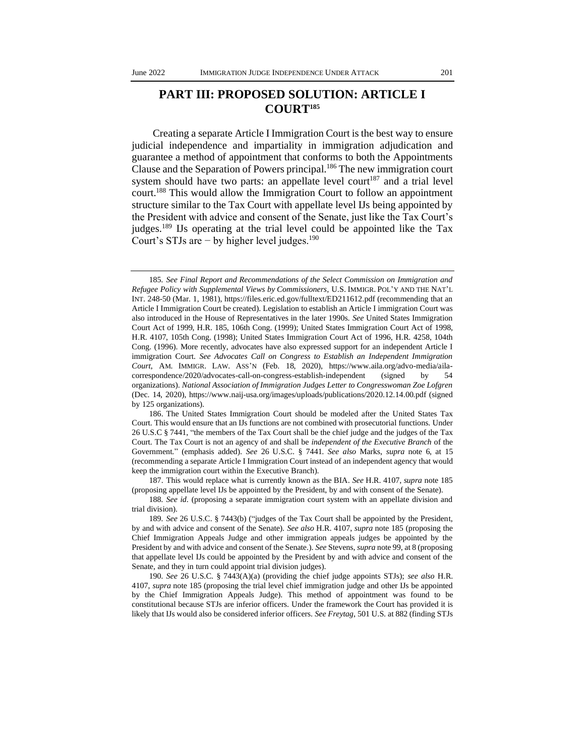# **PART III: PROPOSED SOLUTION: ARTICLE I COURT<sup>185</sup>**

Creating a separate Article I Immigration Court is the best way to ensure judicial independence and impartiality in immigration adjudication and guarantee a method of appointment that conforms to both the Appointments Clause and the Separation of Powers principal.<sup>186</sup> The new immigration court system should have two parts: an appellate level court<sup>187</sup> and a trial level court.<sup>188</sup> This would allow the Immigration Court to follow an appointment structure similar to the Tax Court with appellate level IJs being appointed by the President with advice and consent of the Senate, just like the Tax Court's judges.<sup>189</sup> IJs operating at the trial level could be appointed like the Tax Court's STJs are − by higher level judges.<sup>190</sup>

187. This would replace what is currently known as the BIA. *See* H.R. 4107, *supra* note 185 (proposing appellate level IJs be appointed by the President, by and with consent of the Senate).

<sup>185</sup>*. See Final Report and Recommendations of the Select Commission on Immigration and Refugee Policy with Supplemental Views by Commissioners*, U.S. IMMIGR. POL'Y AND THE NAT'L INT. 248-50 (Mar. 1, 1981), https://files.eric.ed.gov/fulltext/ED211612.pdf (recommending that an Article I Immigration Court be created). Legislation to establish an Article I immigration Court was also introduced in the House of Representatives in the later 1990s. *See* United States Immigration Court Act of 1999, H.R. 185, 106th Cong. (1999); United States Immigration Court Act of 1998, H.R. 4107, 105th Cong. (1998); United States Immigration Court Act of 1996, H.R. 4258, 104th Cong. (1996). More recently, advocates have also expressed support for an independent Article I immigration Court. *See Advocates Call on Congress to Establish an Independent Immigration Court*, AM. IMMIGR. LAW. ASS'N (Feb. 18, 2020), https://www.aila.org/advo-media/ailacorrespondence/2020/advocates-call-on-congress-establish-independent (signed by 54 organizations). *National Association of Immigration Judges Letter to Congresswoman Zoe Lofgren* (Dec. 14, 2020), https://www.naij-usa.org/images/uploads/publications/2020.12.14.00.pdf (signed by 125 organizations).

<sup>186.</sup> The United States Immigration Court should be modeled after the United States Tax Court. This would ensure that an IJs functions are not combined with prosecutorial functions. Under 26 U.S.C § 7441, "the members of the Tax Court shall be the chief judge and the judges of the Tax Court. The Tax Court is not an agency of and shall be *independent of the Executive Branch* of the Government." (emphasis added). *See* 26 U.S.C. § 7441. *See also* Marks, *supra* note 6, at 15 (recommending a separate Article I Immigration Court instead of an independent agency that would keep the immigration court within the Executive Branch).

<sup>188</sup>*. See id*. (proposing a separate immigration court system with an appellate division and trial division).

<sup>189</sup>*. See* 26 U.S.C. § 7443(b) ("judges of the Tax Court shall be appointed by the President, by and with advice and consent of the Senate). *See also* H.R. 4107, *supra* note 185 (proposing the Chief Immigration Appeals Judge and other immigration appeals judges be appointed by the President by and with advice and consent of the Senate.). *See* Stevens, *supra* note 99, at 8 (proposing that appellate level IJs could be appointed by the President by and with advice and consent of the Senate, and they in turn could appoint trial division judges).

<sup>190</sup>*. See* 26 U.S.C. § 7443(A)(a) (providing the chief judge appoints STJs); *see also* H.R. 4107, *supra* note 185 (proposing the trial level chief immigration judge and other IJs be appointed by the Chief Immigration Appeals Judge). This method of appointment was found to be constitutional because STJs are inferior officers. Under the framework the Court has provided it is likely that IJs would also be considered inferior officers. *See Freytag*, 501 U.S. at 882 (finding STJs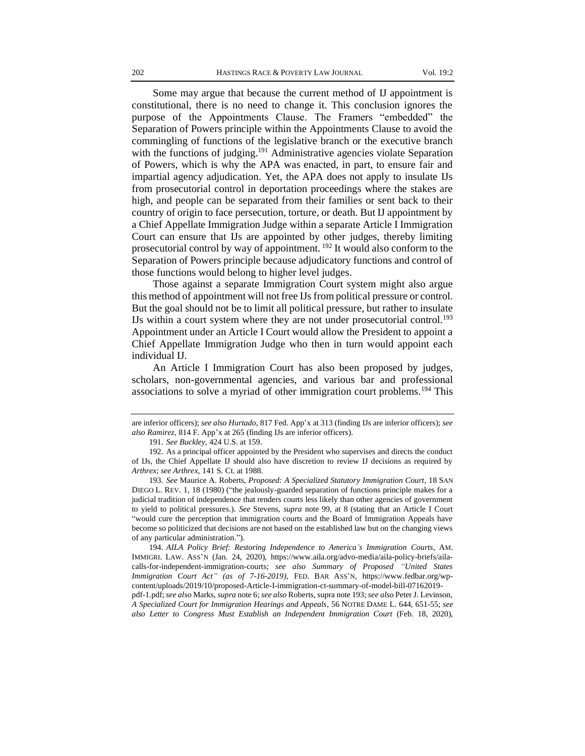Some may argue that because the current method of IJ appointment is constitutional, there is no need to change it. This conclusion ignores the purpose of the Appointments Clause. The Framers "embedded" the Separation of Powers principle within the Appointments Clause to avoid the commingling of functions of the legislative branch or the executive branch with the functions of judging.<sup>191</sup> Administrative agencies violate Separation of Powers, which is why the APA was enacted, in part, to ensure fair and impartial agency adjudication. Yet, the APA does not apply to insulate IJs from prosecutorial control in deportation proceedings where the stakes are high, and people can be separated from their families or sent back to their country of origin to face persecution, torture, or death. But IJ appointment by a Chief Appellate Immigration Judge within a separate Article I Immigration Court can ensure that IJs are appointed by other judges, thereby limiting prosecutorial control by way of appointment. <sup>192</sup> It would also conform to the Separation of Powers principle because adjudicatory functions and control of those functions would belong to higher level judges.

Those against a separate Immigration Court system might also argue this method of appointment will not free IJs from political pressure or control. But the goal should not be to limit all political pressure, but rather to insulate IJs within a court system where they are not under prosecutorial control.<sup>193</sup> Appointment under an Article I Court would allow the President to appoint a Chief Appellate Immigration Judge who then in turn would appoint each individual IJ.

An Article I Immigration Court has also been proposed by judges, scholars, non-governmental agencies, and various bar and professional associations to solve a myriad of other immigration court problems.<sup>194</sup> This

pdf-1.pdf; *see also* Marks*, supra* note 6; *see also* Roberts, supra note 193; *see also* Peter J. Levinson, *A Specialized Court for Immigration Hearings and Appeals*, 56 NOTRE DAME L. 644, 651-55; *see also Letter to Congress Must Establish an Independent Immigration Court* (Feb. 18, 2020),

are inferior officers); *see also Hurtado*, 817 Fed. App'x at 313 (finding IJs are inferior officers); *see also Ramirez*, 814 F. App'x at 265 (finding IJs are inferior officers).

<sup>191</sup>*. See Buckley*, 424 U.S. at 159.

<sup>192.</sup> As a principal officer appointed by the President who supervises and directs the conduct of IJs, the Chief Appellate IJ should also have discretion to review IJ decisions as required by *Arthrex*; *see Arthrex,* 141 S. Ct. at 1988.

<sup>193</sup>*. See* Maurice A. Roberts, *Proposed: A Specialized Statutory Immigration Court*, 18 SAN DIEGO L. REV. 1, 18 (1980) ("the jealously-guarded separation of functions principle makes for a judicial tradition of independence that renders courts less likely than other agencies of government to yield to political pressures.). *See* Stevens, *supra* note 99, at 8 (stating that an Article I Court "would cure the perception that immigration courts and the Board of Immigration Appeals have become so politicized that decisions are not based on the established law but on the changing views of any particular administration.").

<sup>194</sup>*. AILA Policy Brief: Restoring Independence to America's Immigration Courts*, AM. IMMIGRI. LAW. ASS'N (Jan. 24, 2020), https://www.aila.org/advo-media/aila-policy-briefs/ailacalls-for-independent-immigration-courts; *see also Summary of Proposed "United States Immigration Court Act" (as of 7-16-2019)*, FED. BAR ASS'N*,* https://www.fedbar.org/wpcontent/uploads/2019/10/proposed-Article-I-immigration-ct-summary-of-model-bill-07162019-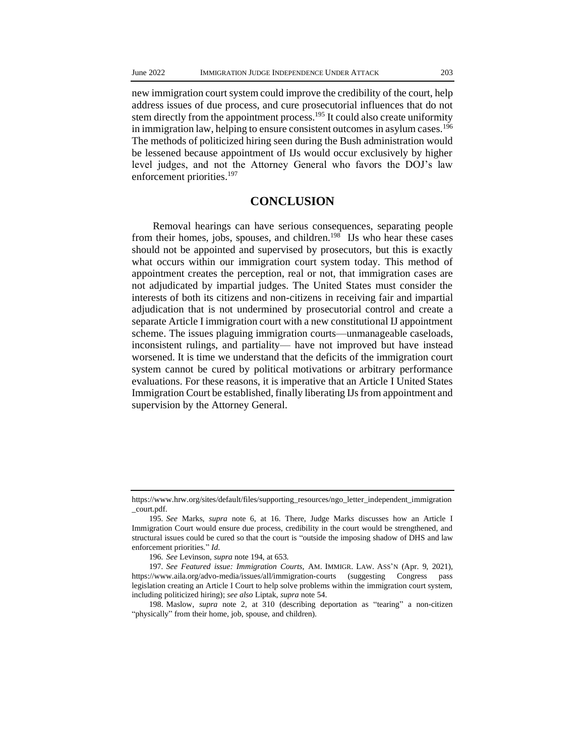new immigration court system could improve the credibility of the court, help address issues of due process, and cure prosecutorial influences that do not stem directly from the appointment process.<sup>195</sup> It could also create uniformity in immigration law, helping to ensure consistent outcomes in asylum cases.<sup>196</sup> The methods of politicized hiring seen during the Bush administration would be lessened because appointment of IJs would occur exclusively by higher level judges, and not the Attorney General who favors the DOJ's law enforcement priorities.<sup>197</sup>

# **CONCLUSION**

Removal hearings can have serious consequences, separating people from their homes, jobs, spouses, and children.<sup>198</sup> IJs who hear these cases should not be appointed and supervised by prosecutors, but this is exactly what occurs within our immigration court system today. This method of appointment creates the perception, real or not, that immigration cases are not adjudicated by impartial judges. The United States must consider the interests of both its citizens and non-citizens in receiving fair and impartial adjudication that is not undermined by prosecutorial control and create a separate Article I immigration court with a new constitutional IJ appointment scheme. The issues plaguing immigration courts—unmanageable caseloads, inconsistent rulings, and partiality— have not improved but have instead worsened. It is time we understand that the deficits of the immigration court system cannot be cured by political motivations or arbitrary performance evaluations. For these reasons, it is imperative that an Article I United States Immigration Court be established, finally liberating IJs from appointment and supervision by the Attorney General.

https://www.hrw.org/sites/default/files/supporting\_resources/ngo\_letter\_independent\_immigration \_court.pdf.

<sup>195</sup>*. See* Marks, *supra* note 6, at 16. There, Judge Marks discusses how an Article I Immigration Court would ensure due process, credibility in the court would be strengthened, and structural issues could be cured so that the court is "outside the imposing shadow of DHS and law enforcement priorities." *Id*.

<sup>196</sup>*. See* Levinson, *supra* note 194, at 653.

<sup>197</sup>*. See Featured issue: Immigration Courts*, AM. IMMIGR. LAW. ASS'N (Apr. 9, 2021), https://www.aila.org/advo-media/issues/all/immigration-courts (suggesting Congress pass legislation creating an Article I Court to help solve problems within the immigration court system, including politicized hiring); *see also* Liptak, *supra* note 54.

<sup>198.</sup> Maslow, *supra* note 2, at 310 (describing deportation as "tearing" a non-citizen "physically" from their home, job, spouse, and children).